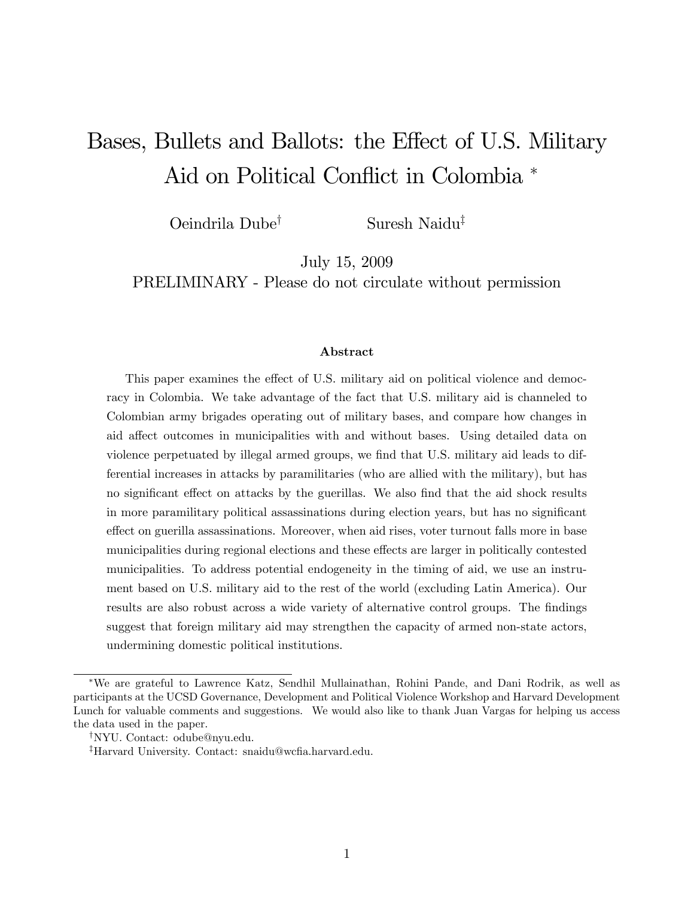# Bases, Bullets and Ballots: the Effect of U.S. Military Aid on Political Conflict in Colombia \*

 $Oeindrila Dube<sup>†</sup>$  Suresh Naidu<sup>‡</sup>

July 15, 2009

PRELIMINARY - Please do not circulate without permission

### Abstract

This paper examines the effect of U.S. military aid on political violence and democracy in Colombia. We take advantage of the fact that U.S. military aid is channeled to Colombian army brigades operating out of military bases, and compare how changes in aid affect outcomes in municipalities with and without bases. Using detailed data on violence perpetuated by illegal armed groups, we find that U.S. military aid leads to differential increases in attacks by paramilitaries (who are allied with the military), but has no significant effect on attacks by the guerillas. We also find that the aid shock results in more paramilitary political assassinations during election years, but has no significant effect on guerilla assassinations. Moreover, when aid rises, voter turnout falls more in base municipalities during regional elections and these effects are larger in politically contested municipalities. To address potential endogeneity in the timing of aid, we use an instrument based on U.S. military aid to the rest of the world (excluding Latin America). Our results are also robust across a wide variety of alternative control groups. The findings suggest that foreign military aid may strengthen the capacity of armed non-state actors, undermining domestic political institutions.

We are grateful to Lawrence Katz, Sendhil Mullainathan, Rohini Pande, and Dani Rodrik, as well as participants at the UCSD Governance, Development and Political Violence Workshop and Harvard Development Lunch for valuable comments and suggestions. We would also like to thank Juan Vargas for helping us access the data used in the paper.

<sup>&</sup>lt;sup>†</sup>NYU. Contact: odube@nyu.edu.

<sup>&</sup>lt;sup>‡</sup>Harvard University. Contact: snaidu@wcfia.harvard.edu.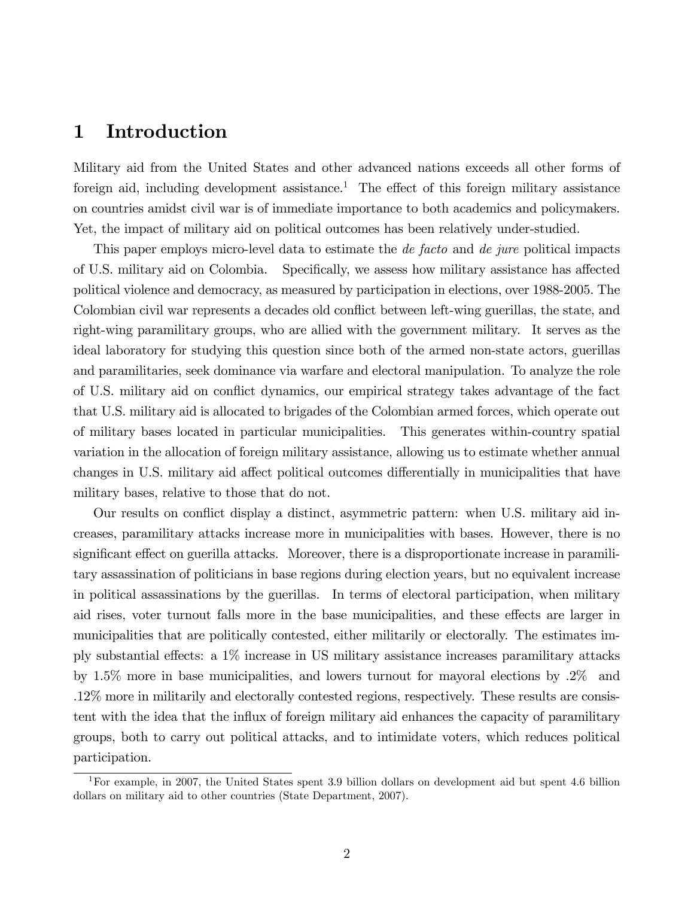# 1 Introduction

Military aid from the United States and other advanced nations exceeds all other forms of foreign aid, including development assistance.<sup>1</sup> The effect of this foreign military assistance on countries amidst civil war is of immediate importance to both academics and policymakers. Yet, the impact of military aid on political outcomes has been relatively under-studied.

This paper employs micro-level data to estimate the de facto and de jure political impacts of U.S. military aid on Colombia. Specifically, we assess how military assistance has affected political violence and democracy, as measured by participation in elections, over 1988-2005. The Colombian civil war represents a decades old conflict between left-wing guerillas, the state, and right-wing paramilitary groups, who are allied with the government military. It serves as the ideal laboratory for studying this question since both of the armed non-state actors, guerillas and paramilitaries, seek dominance via warfare and electoral manipulation. To analyze the role of U.S. military aid on conáict dynamics, our empirical strategy takes advantage of the fact that U.S. military aid is allocated to brigades of the Colombian armed forces, which operate out of military bases located in particular municipalities. This generates within-country spatial variation in the allocation of foreign military assistance, allowing us to estimate whether annual changes in U.S. military aid affect political outcomes differentially in municipalities that have military bases, relative to those that do not.

Our results on conáict display a distinct, asymmetric pattern: when U.S. military aid increases, paramilitary attacks increase more in municipalities with bases. However, there is no significant effect on guerilla attacks. Moreover, there is a disproportionate increase in paramilitary assassination of politicians in base regions during election years, but no equivalent increase in political assassinations by the guerillas. In terms of electoral participation, when military aid rises, voter turnout falls more in the base municipalities, and these effects are larger in municipalities that are politically contested, either militarily or electorally. The estimates imply substantial effects: a  $1\%$  increase in US military assistance increases paramilitary attacks by 1.5% more in base municipalities, and lowers turnout for mayoral elections by .2% and .12% more in militarily and electorally contested regions, respectively. These results are consistent with the idea that the influx of foreign military aid enhances the capacity of paramilitary groups, both to carry out political attacks, and to intimidate voters, which reduces political participation.

<sup>1</sup>For example, in 2007, the United States spent 3.9 billion dollars on development aid but spent 4.6 billion dollars on military aid to other countries (State Department, 2007).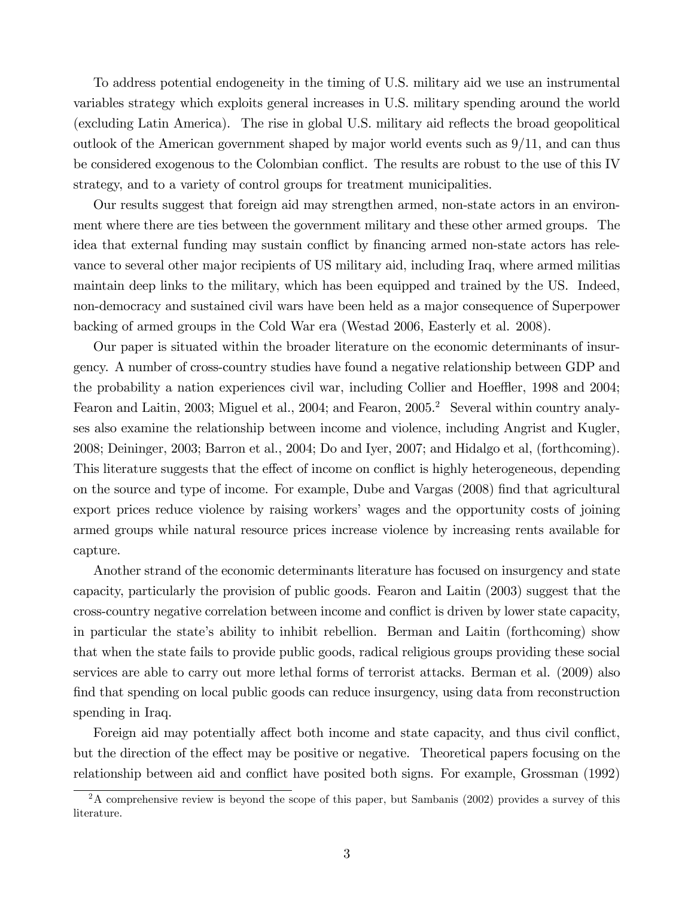To address potential endogeneity in the timing of U.S. military aid we use an instrumental variables strategy which exploits general increases in U.S. military spending around the world (excluding Latin America). The rise in global U.S. military aid reflects the broad geopolitical outlook of the American government shaped by major world events such as 9/11, and can thus be considered exogenous to the Colombian conáict. The results are robust to the use of this IV strategy, and to a variety of control groups for treatment municipalities.

Our results suggest that foreign aid may strengthen armed, non-state actors in an environment where there are ties between the government military and these other armed groups. The idea that external funding may sustain conflict by financing armed non-state actors has relevance to several other major recipients of US military aid, including Iraq, where armed militias maintain deep links to the military, which has been equipped and trained by the US. Indeed, non-democracy and sustained civil wars have been held as a major consequence of Superpower backing of armed groups in the Cold War era (Westad 2006, Easterly et al. 2008).

Our paper is situated within the broader literature on the economic determinants of insurgency. A number of cross-country studies have found a negative relationship between GDP and the probability a nation experiences civil war, including Collier and Hoeffler, 1998 and 2004; Fearon and Laitin, 2003; Miguel et al., 2004; and Fearon, 2005.<sup>2</sup> Several within country analyses also examine the relationship between income and violence, including Angrist and Kugler, 2008; Deininger, 2003; Barron et al., 2004; Do and Iyer, 2007; and Hidalgo et al, (forthcoming). This literature suggests that the effect of income on conflict is highly heterogeneous, depending on the source and type of income. For example, Dube and Vargas (2008) find that agricultural export prices reduce violence by raising workersí wages and the opportunity costs of joining armed groups while natural resource prices increase violence by increasing rents available for capture.

Another strand of the economic determinants literature has focused on insurgency and state capacity, particularly the provision of public goods. Fearon and Laitin (2003) suggest that the cross-country negative correlation between income and conáict is driven by lower state capacity, in particular the state's ability to inhibit rebellion. Berman and Laitin (forthcoming) show that when the state fails to provide public goods, radical religious groups providing these social services are able to carry out more lethal forms of terrorist attacks. Berman et al. (2009) also find that spending on local public goods can reduce insurgency, using data from reconstruction spending in Iraq.

Foreign aid may potentially affect both income and state capacity, and thus civil conflict, but the direction of the effect may be positive or negative. Theoretical papers focusing on the relationship between aid and conflict have posited both signs. For example, Grossman (1992)

 $2A$  comprehensive review is beyond the scope of this paper, but Sambanis (2002) provides a survey of this literature.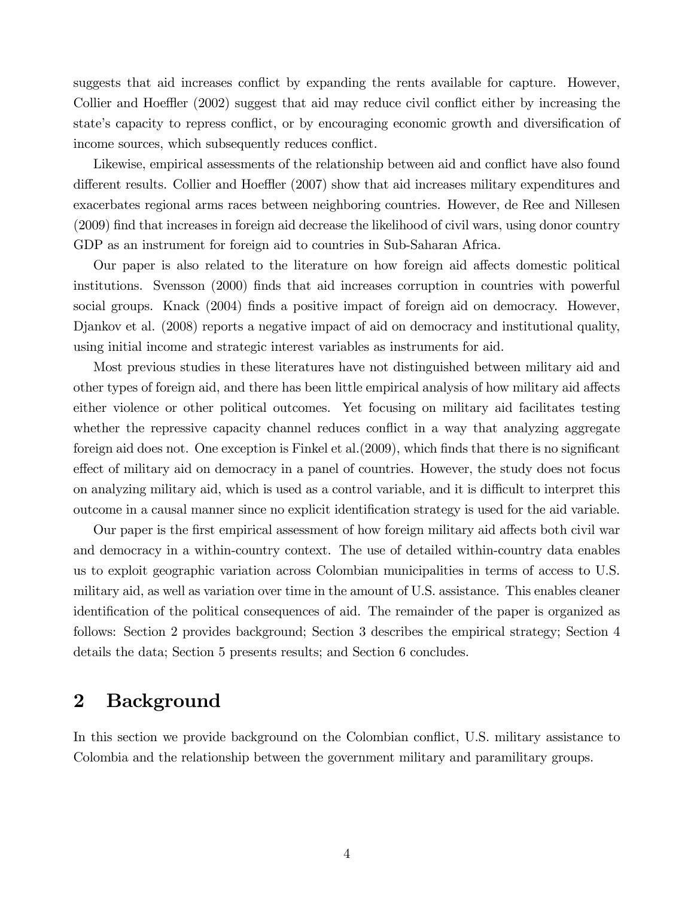suggests that aid increases conflict by expanding the rents available for capture. However, Collier and Hoeffler  $(2002)$  suggest that aid may reduce civil conflict either by increasing the state's capacity to repress conflict, or by encouraging economic growth and diversification of income sources, which subsequently reduces conflict.

Likewise, empirical assessments of the relationship between aid and conflict have also found different results. Collier and Hoeffler (2007) show that aid increases military expenditures and exacerbates regional arms races between neighboring countries. However, de Ree and Nillesen (2009) find that increases in foreign aid decrease the likelihood of civil wars, using donor country GDP as an instrument for foreign aid to countries in Sub-Saharan Africa.

Our paper is also related to the literature on how foreign aid affects domestic political institutions. Svensson (2000) finds that aid increases corruption in countries with powerful social groups. Knack (2004) finds a positive impact of foreign aid on democracy. However, Djankov et al. (2008) reports a negative impact of aid on democracy and institutional quality, using initial income and strategic interest variables as instruments for aid.

Most previous studies in these literatures have not distinguished between military aid and other types of foreign aid, and there has been little empirical analysis of how military aid affects either violence or other political outcomes. Yet focusing on military aid facilitates testing whether the repressive capacity channel reduces conflict in a way that analyzing aggregate foreign aid does not. One exception is Finkel et al. (2009), which finds that there is no significant effect of military aid on democracy in a panel of countries. However, the study does not focus on analyzing military aid, which is used as a control variable, and it is difficult to interpret this outcome in a causal manner since no explicit identiÖcation strategy is used for the aid variable.

Our paper is the first empirical assessment of how foreign military aid affects both civil war and democracy in a within-country context. The use of detailed within-country data enables us to exploit geographic variation across Colombian municipalities in terms of access to U.S. military aid, as well as variation over time in the amount of U.S. assistance. This enables cleaner identification of the political consequences of aid. The remainder of the paper is organized as follows: Section 2 provides background; Section 3 describes the empirical strategy; Section 4 details the data; Section 5 presents results; and Section 6 concludes.

# 2 Background

In this section we provide background on the Colombian conflict, U.S. military assistance to Colombia and the relationship between the government military and paramilitary groups.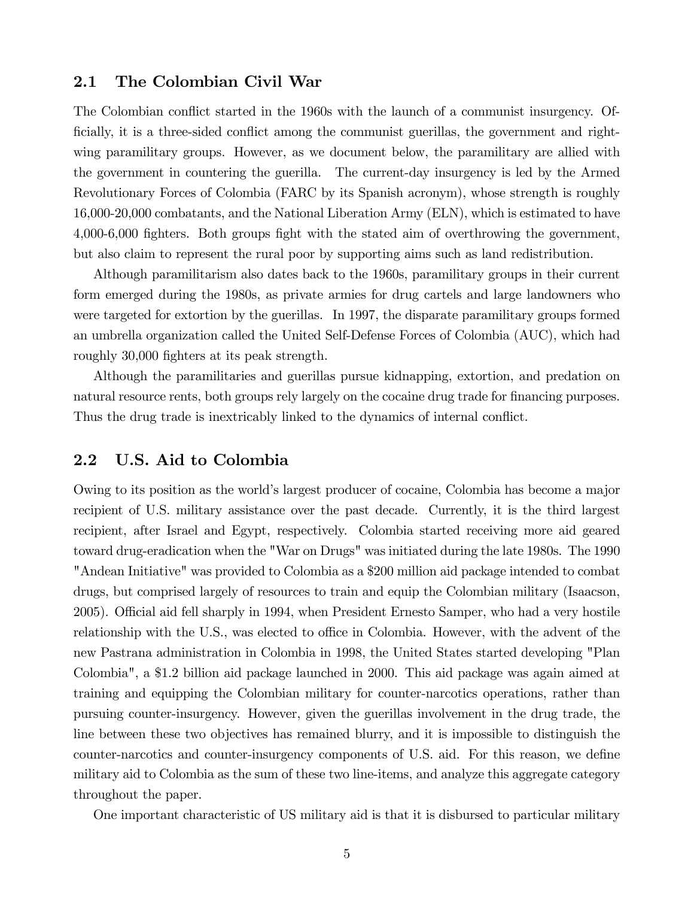# 2.1 The Colombian Civil War

The Colombian conflict started in the 1960s with the launch of a communist insurgency. Officially, it is a three-sided conflict among the communist guerillas, the government and rightwing paramilitary groups. However, as we document below, the paramilitary are allied with the government in countering the guerilla. The current-day insurgency is led by the Armed Revolutionary Forces of Colombia (FARC by its Spanish acronym), whose strength is roughly 16,000-20,000 combatants, and the National Liberation Army (ELN), which is estimated to have 4,000-6,000 fighters. Both groups fight with the stated aim of overthrowing the government, but also claim to represent the rural poor by supporting aims such as land redistribution.

Although paramilitarism also dates back to the 1960s, paramilitary groups in their current form emerged during the 1980s, as private armies for drug cartels and large landowners who were targeted for extortion by the guerillas. In 1997, the disparate paramilitary groups formed an umbrella organization called the United Self-Defense Forces of Colombia (AUC), which had roughly 30,000 fighters at its peak strength.

Although the paramilitaries and guerillas pursue kidnapping, extortion, and predation on natural resource rents, both groups rely largely on the cocaine drug trade for financing purposes. Thus the drug trade is inextricably linked to the dynamics of internal conflict.

# 2.2 U.S. Aid to Colombia

Owing to its position as the worldís largest producer of cocaine, Colombia has become a major recipient of U.S. military assistance over the past decade. Currently, it is the third largest recipient, after Israel and Egypt, respectively. Colombia started receiving more aid geared toward drug-eradication when the "War on Drugs" was initiated during the late 1980s. The 1990 "Andean Initiative" was provided to Colombia as a \$200 million aid package intended to combat drugs, but comprised largely of resources to train and equip the Colombian military (Isaacson, 2005). Official aid fell sharply in 1994, when President Ernesto Samper, who had a very hostile relationship with the U.S., was elected to office in Colombia. However, with the advent of the new Pastrana administration in Colombia in 1998, the United States started developing "Plan Colombia", a \$1.2 billion aid package launched in 2000. This aid package was again aimed at training and equipping the Colombian military for counter-narcotics operations, rather than pursuing counter-insurgency. However, given the guerillas involvement in the drug trade, the line between these two objectives has remained blurry, and it is impossible to distinguish the counter-narcotics and counter-insurgency components of U.S. aid. For this reason, we define military aid to Colombia as the sum of these two line-items, and analyze this aggregate category throughout the paper.

One important characteristic of US military aid is that it is disbursed to particular military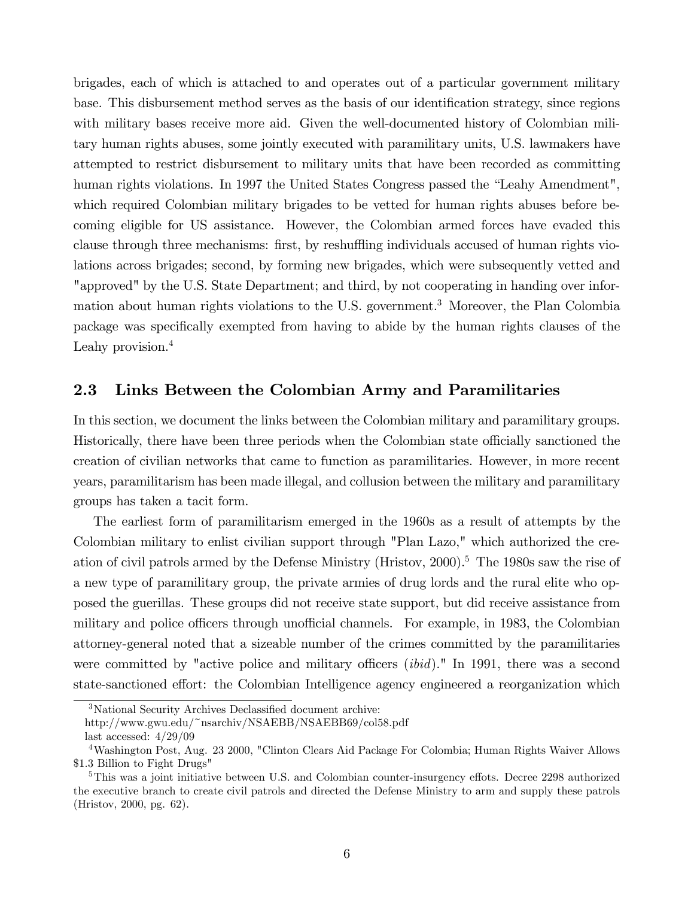brigades, each of which is attached to and operates out of a particular government military base. This disbursement method serves as the basis of our identification strategy, since regions with military bases receive more aid. Given the well-documented history of Colombian military human rights abuses, some jointly executed with paramilitary units, U.S. lawmakers have attempted to restrict disbursement to military units that have been recorded as committing human rights violations. In 1997 the United States Congress passed the "Leahy Amendment", which required Colombian military brigades to be vetted for human rights abuses before becoming eligible for US assistance. However, the Colombian armed forces have evaded this clause through three mechanisms: first, by reshuffling individuals accused of human rights violations across brigades; second, by forming new brigades, which were subsequently vetted and "approved" by the U.S. State Department; and third, by not cooperating in handing over information about human rights violations to the U.S. government.<sup>3</sup> Moreover, the Plan Colombia package was specifically exempted from having to abide by the human rights clauses of the Leahy provision.<sup>4</sup>

# 2.3 Links Between the Colombian Army and Paramilitaries

In this section, we document the links between the Colombian military and paramilitary groups. Historically, there have been three periods when the Colombian state officially sanctioned the creation of civilian networks that came to function as paramilitaries. However, in more recent years, paramilitarism has been made illegal, and collusion between the military and paramilitary groups has taken a tacit form.

The earliest form of paramilitarism emerged in the 1960s as a result of attempts by the Colombian military to enlist civilian support through "Plan Lazo," which authorized the creation of civil patrols armed by the Defense Ministry (Hristov, 2000).<sup>5</sup> The 1980s saw the rise of a new type of paramilitary group, the private armies of drug lords and the rural elite who opposed the guerillas. These groups did not receive state support, but did receive assistance from military and police officers through unofficial channels. For example, in 1983, the Colombian attorney-general noted that a sizeable number of the crimes committed by the paramilitaries were committed by "active police and military officers  $(ibid).$ " In 1991, there was a second state-sanctioned effort: the Colombian Intelligence agency engineered a reorganization which

<sup>&</sup>lt;sup>3</sup>National Security Archives Declassified document archive:

http://www.gwu.edu/~nsarchiv/NSAEBB/NSAEBB69/col58.pdf

last accessed: 4/29/09

<sup>4</sup>Washington Post, Aug. 23 2000, "Clinton Clears Aid Package For Colombia; Human Rights Waiver Allows \$1.3 Billion to Fight Drugs"

 $5$ This was a joint initiative between U.S. and Colombian counter-insurgency effots. Decree 2298 authorized the executive branch to create civil patrols and directed the Defense Ministry to arm and supply these patrols (Hristov, 2000, pg. 62).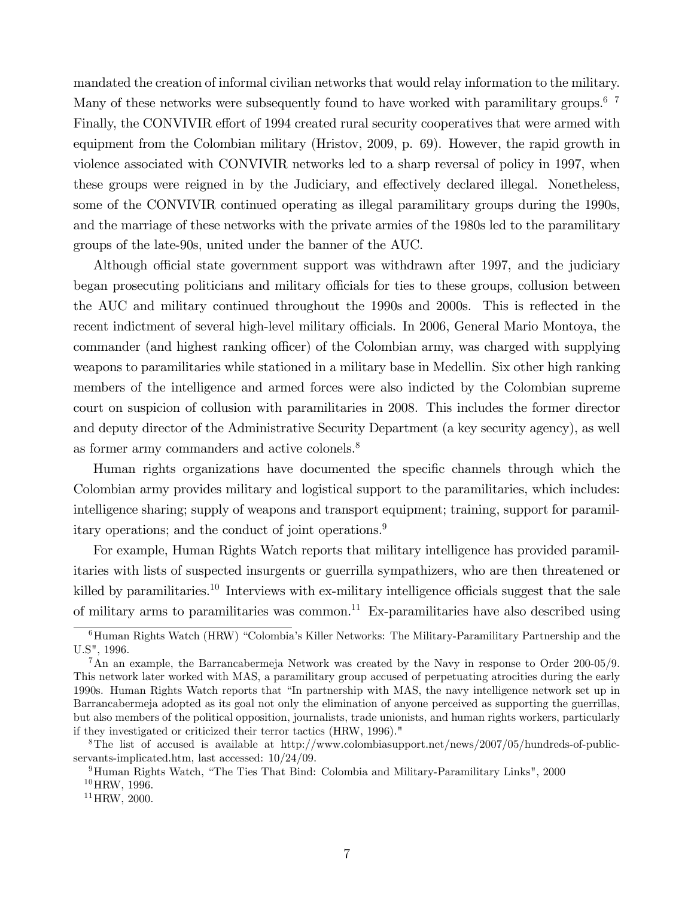mandated the creation of informal civilian networks that would relay information to the military. Many of these networks were subsequently found to have worked with paramilitary groups.<sup>67</sup> Finally, the CONVIVIR effort of 1994 created rural security cooperatives that were armed with equipment from the Colombian military (Hristov, 2009, p. 69). However, the rapid growth in violence associated with CONVIVIR networks led to a sharp reversal of policy in 1997, when these groups were reigned in by the Judiciary, and effectively declared illegal. Nonetheless, some of the CONVIVIR continued operating as illegal paramilitary groups during the 1990s, and the marriage of these networks with the private armies of the 1980s led to the paramilitary groups of the late-90s, united under the banner of the AUC.

Although official state government support was withdrawn after 1997, and the judiciary began prosecuting politicians and military officials for ties to these groups, collusion between the AUC and military continued throughout the 1990s and 2000s. This is reflected in the recent indictment of several high-level military officials. In 2006, General Mario Montoya, the commander (and highest ranking officer) of the Colombian army, was charged with supplying weapons to paramilitaries while stationed in a military base in Medellin. Six other high ranking members of the intelligence and armed forces were also indicted by the Colombian supreme court on suspicion of collusion with paramilitaries in 2008. This includes the former director and deputy director of the Administrative Security Department (a key security agency), as well as former army commanders and active colonels.<sup>8</sup>

Human rights organizations have documented the specific channels through which the Colombian army provides military and logistical support to the paramilitaries, which includes: intelligence sharing; supply of weapons and transport equipment; training, support for paramilitary operations; and the conduct of joint operations.<sup>9</sup>

For example, Human Rights Watch reports that military intelligence has provided paramilitaries with lists of suspected insurgents or guerrilla sympathizers, who are then threatened or killed by paramilitaries.<sup>10</sup> Interviews with ex-military intelligence officials suggest that the sale of military arms to paramilitaries was common.<sup>11</sup> Ex-paramilitaries have also described using

 ${}^{6}$ Human Rights Watch (HRW) "Colombia's Killer Networks: The Military-Paramilitary Partnership and the U.S", 1996.

 ${}^{7}$ An an example, the Barrancabermeja Network was created by the Navy in response to Order 200-05/9. This network later worked with MAS, a paramilitary group accused of perpetuating atrocities during the early 1990s. Human Rights Watch reports that "In partnership with MAS, the navy intelligence network set up in Barrancabermeja adopted as its goal not only the elimination of anyone perceived as supporting the guerrillas, but also members of the political opposition, journalists, trade unionists, and human rights workers, particularly if they investigated or criticized their terror tactics (HRW, 1996)."

<sup>8</sup>The list of accused is available at http://www.colombiasupport.net/news/2007/05/hundreds-of-publicservants-implicated.htm, last accessed: 10/24/09.

 $9Human Rights Watch, "The Ties That Bind: Colombia and Military-Paramility Links", 2000$  $10$  HRW, 1996.

<sup>11</sup>HRW, 2000.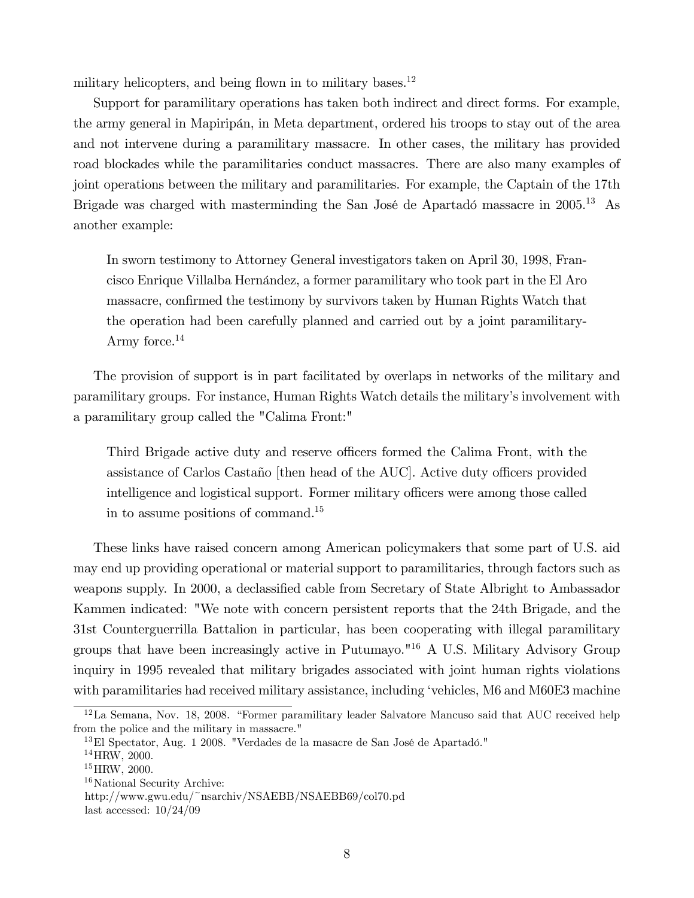military helicopters, and being flown in to military bases.<sup>12</sup>

Support for paramilitary operations has taken both indirect and direct forms. For example, the army general in Mapiripan, in Meta department, ordered his troops to stay out of the area and not intervene during a paramilitary massacre. In other cases, the military has provided road blockades while the paramilitaries conduct massacres. There are also many examples of joint operations between the military and paramilitaries. For example, the Captain of the 17th Brigade was charged with masterminding the San José de Apartadó massacre in 2005.<sup>13</sup> As another example:

In sworn testimony to Attorney General investigators taken on April 30, 1998, Francisco Enrique Villalba Hernández, a former paramilitary who took part in the El Aro massacre, confirmed the testimony by survivors taken by Human Rights Watch that the operation had been carefully planned and carried out by a joint paramilitary-Army force.<sup>14</sup>

The provision of support is in part facilitated by overlaps in networks of the military and paramilitary groups. For instance, Human Rights Watch details the militaryís involvement with a paramilitary group called the "Calima Front:"

Third Brigade active duty and reserve officers formed the Calima Front, with the assistance of Carlos Castaño [then head of the AUC]. Active duty officers provided intelligence and logistical support. Former military officers were among those called in to assume positions of command.<sup>15</sup>

These links have raised concern among American policymakers that some part of U.S. aid may end up providing operational or material support to paramilitaries, through factors such as weapons supply. In 2000, a declassified cable from Secretary of State Albright to Ambassador Kammen indicated: "We note with concern persistent reports that the 24th Brigade, and the 31st Counterguerrilla Battalion in particular, has been cooperating with illegal paramilitary groups that have been increasingly active in Putumayo."<sup>16</sup> A U.S. Military Advisory Group inquiry in 1995 revealed that military brigades associated with joint human rights violations with paramilitaries had received military assistance, including 'vehicles, M6 and M60E3 machine

last accessed: 10/24/09

 $12$ La Semana, Nov. 18, 2008. "Former paramilitary leader Salvatore Mancuso said that AUC received help from the police and the military in massacre."

 $13$ El Spectator, Aug. 1 2008. "Verdades de la masacre de San José de Apartadó."

<sup>14</sup>HRW, 2000.

<sup>15</sup>HRW, 2000.

<sup>&</sup>lt;sup>16</sup>National Security Archive:

http://www.gwu.edu/~nsarchiv/NSAEBB/NSAEBB69/col70.pd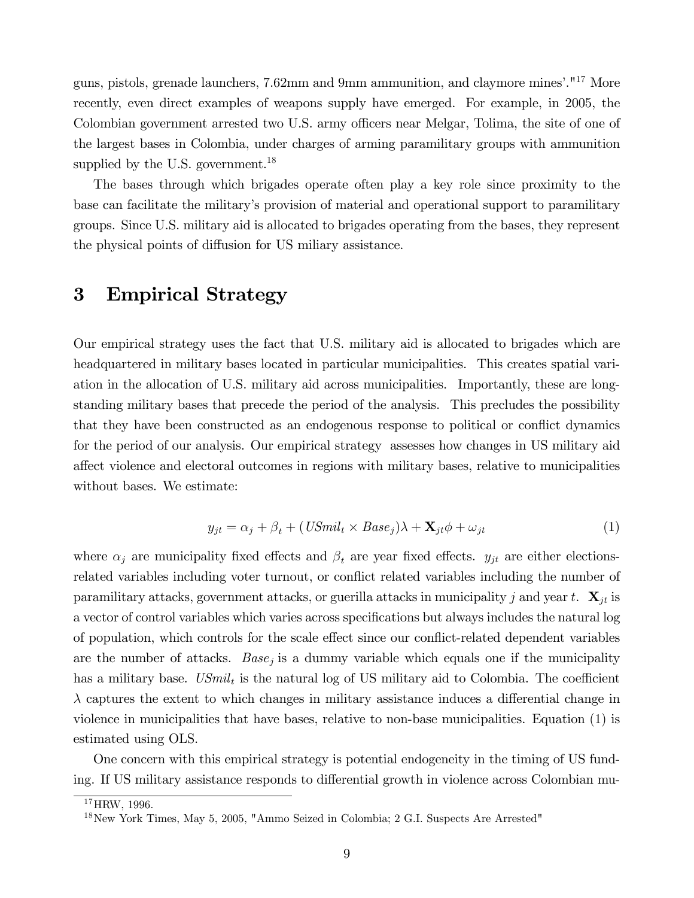guns, pistols, grenade launchers, 7.62mm and 9mm ammunition, and claymore mines'.<sup>"17</sup> More recently, even direct examples of weapons supply have emerged. For example, in 2005, the Colombian government arrested two U.S. army officers near Melgar, Tolima, the site of one of the largest bases in Colombia, under charges of arming paramilitary groups with ammunition supplied by the U.S. government.<sup>18</sup>

The bases through which brigades operate often play a key role since proximity to the base can facilitate the military's provision of material and operational support to paramilitary groups. Since U.S. military aid is allocated to brigades operating from the bases, they represent the physical points of diffusion for US miliary assistance.

# 3 Empirical Strategy

Our empirical strategy uses the fact that U.S. military aid is allocated to brigades which are headquartered in military bases located in particular municipalities. This creates spatial variation in the allocation of U.S. military aid across municipalities. Importantly, these are longstanding military bases that precede the period of the analysis. This precludes the possibility that they have been constructed as an endogenous response to political or conflict dynamics for the period of our analysis. Our empirical strategy assesses how changes in US military aid a§ect violence and electoral outcomes in regions with military bases, relative to municipalities without bases. We estimate:

$$
y_{jt} = \alpha_j + \beta_t + (USmith_t \times Base_j)\lambda + \mathbf{X}_{jt}\phi + \omega_{jt}
$$
\n(1)

where  $\alpha_j$  are municipality fixed effects and  $\beta_t$  are year fixed effects.  $y_{jt}$  are either electionsrelated variables including voter turnout, or conflict related variables including the number of paramilitary attacks, government attacks, or guerilla attacks in municipality j and year t.  $\mathbf{X}_{jt}$  is a vector of control variables which varies across specifications but always includes the natural log of population, which controls for the scale effect since our conflict-related dependent variables are the number of attacks.  $Base_j$  is a dummy variable which equals one if the municipality has a military base.  $USmil_t$  is the natural log of US military aid to Colombia. The coefficient  $\lambda$  captures the extent to which changes in military assistance induces a differential change in violence in municipalities that have bases, relative to non-base municipalities. Equation (1) is estimated using OLS.

One concern with this empirical strategy is potential endogeneity in the timing of US funding. If US military assistance responds to differential growth in violence across Colombian mu-

<sup>&</sup>lt;sup>17</sup>HRW, 1996.

<sup>18</sup>New York Times, May 5, 2005, "Ammo Seized in Colombia; 2 G.I. Suspects Are Arrested"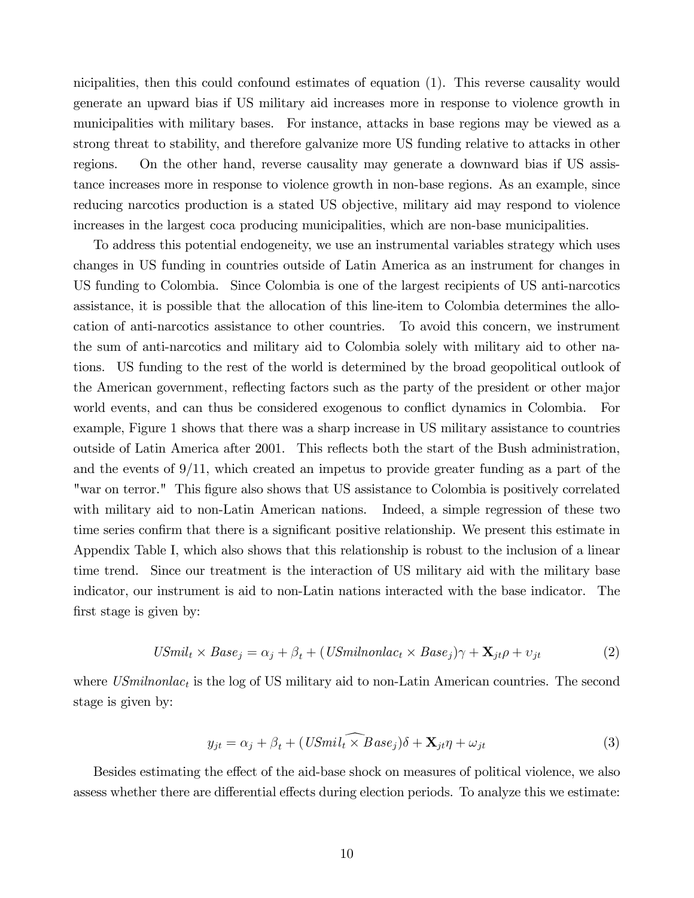nicipalities, then this could confound estimates of equation (1). This reverse causality would generate an upward bias if US military aid increases more in response to violence growth in municipalities with military bases. For instance, attacks in base regions may be viewed as a strong threat to stability, and therefore galvanize more US funding relative to attacks in other regions. On the other hand, reverse causality may generate a downward bias if US assistance increases more in response to violence growth in non-base regions. As an example, since reducing narcotics production is a stated US objective, military aid may respond to violence increases in the largest coca producing municipalities, which are non-base municipalities.

To address this potential endogeneity, we use an instrumental variables strategy which uses changes in US funding in countries outside of Latin America as an instrument for changes in US funding to Colombia. Since Colombia is one of the largest recipients of US anti-narcotics assistance, it is possible that the allocation of this line-item to Colombia determines the allocation of anti-narcotics assistance to other countries. To avoid this concern, we instrument the sum of anti-narcotics and military aid to Colombia solely with military aid to other nations. US funding to the rest of the world is determined by the broad geopolitical outlook of the American government, reflecting factors such as the party of the president or other major world events, and can thus be considered exogenous to conflict dynamics in Colombia. For example, Figure 1 shows that there was a sharp increase in US military assistance to countries outside of Latin America after 2001. This reflects both the start of the Bush administration, and the events of 9/11, which created an impetus to provide greater funding as a part of the "war on terror." This figure also shows that US assistance to Colombia is positively correlated with military aid to non-Latin American nations. Indeed, a simple regression of these two time series confirm that there is a significant positive relationship. We present this estimate in Appendix Table I, which also shows that this relationship is robust to the inclusion of a linear time trend. Since our treatment is the interaction of US military aid with the military base indicator, our instrument is aid to non-Latin nations interacted with the base indicator. The first stage is given by:

$$
USmith \times Base_j = \alpha_j + \beta_t + (USmithonalac_t \times Base_j) \gamma + \mathbf{X}_{jt} \rho + \upsilon_{jt} \tag{2}
$$

where  $USmilnonlac_t$  is the log of US military aid to non-Latin American countries. The second stage is given by:

$$
y_{jt} = \alpha_j + \beta_t + (U\mathbf{Smil}_t \times \mathbf{Base}_j)\delta + \mathbf{X}_{jt}\eta + \omega_{jt}
$$
\n(3)

Besides estimating the effect of the aid-base shock on measures of political violence, we also assess whether there are differential effects during election periods. To analyze this we estimate: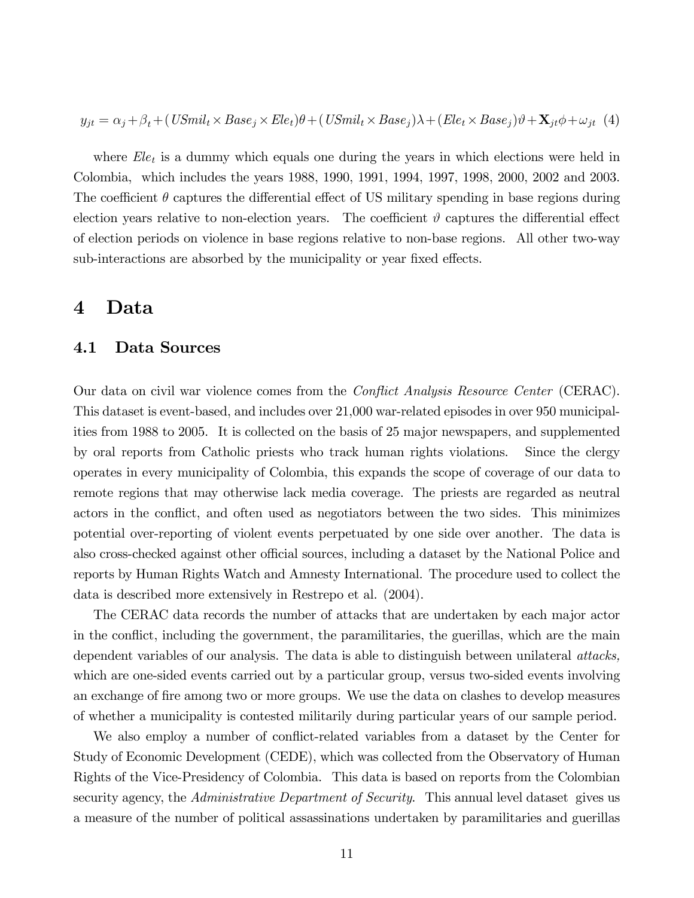$$
y_{jt} = \alpha_j + \beta_t + (USmith \times Base_j \times Ele_t)\theta + (USmith \times Base_j)\lambda + (Ele_t \times Base_j)\theta + \mathbf{X}_{jt}\phi + \omega_{jt} \tag{4}
$$

where  $Ele<sub>t</sub>$  is a dummy which equals one during the years in which elections were held in Colombia, which includes the years 1988, 1990, 1991, 1994, 1997, 1998, 2000, 2002 and 2003. The coefficient  $\theta$  captures the differential effect of US military spending in base regions during election years relative to non-election years. The coefficient  $\vartheta$  captures the differential effect of election periods on violence in base regions relative to non-base regions. All other two-way sub-interactions are absorbed by the municipality or year fixed effects.

# 4 Data

### 4.1 Data Sources

Our data on civil war violence comes from the *Conflict Analysis Resource Center* (CERAC). This dataset is event-based, and includes over 21,000 war-related episodes in over 950 municipalities from 1988 to 2005. It is collected on the basis of 25 major newspapers, and supplemented by oral reports from Catholic priests who track human rights violations. Since the clergy operates in every municipality of Colombia, this expands the scope of coverage of our data to remote regions that may otherwise lack media coverage. The priests are regarded as neutral actors in the conflict, and often used as negotiators between the two sides. This minimizes potential over-reporting of violent events perpetuated by one side over another. The data is also cross-checked against other official sources, including a dataset by the National Police and reports by Human Rights Watch and Amnesty International. The procedure used to collect the data is described more extensively in Restrepo et al. (2004).

The CERAC data records the number of attacks that are undertaken by each major actor in the conflict, including the government, the paramilitaries, the guerillas, which are the main dependent variables of our analysis. The data is able to distinguish between unilateral *attacks*, which are one-sided events carried out by a particular group, versus two-sided events involving an exchange of fire among two or more groups. We use the data on clashes to develop measures of whether a municipality is contested militarily during particular years of our sample period.

We also employ a number of conflict-related variables from a dataset by the Center for Study of Economic Development (CEDE), which was collected from the Observatory of Human Rights of the Vice-Presidency of Colombia. This data is based on reports from the Colombian security agency, the *Administrative Department of Security*. This annual level dataset gives us a measure of the number of political assassinations undertaken by paramilitaries and guerillas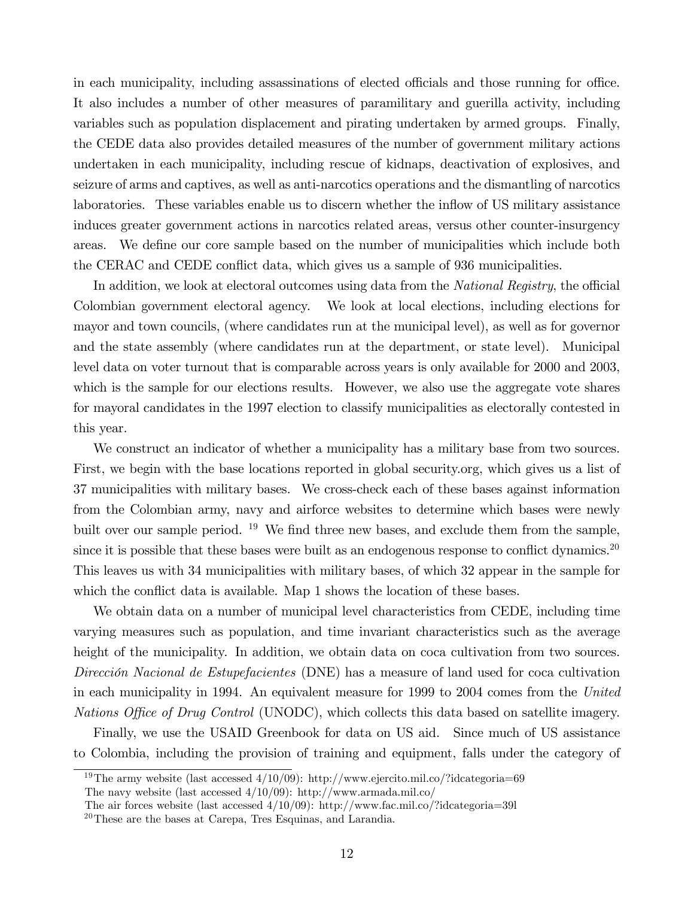in each municipality, including assassinations of elected officials and those running for office. It also includes a number of other measures of paramilitary and guerilla activity, including variables such as population displacement and pirating undertaken by armed groups. Finally, the CEDE data also provides detailed measures of the number of government military actions undertaken in each municipality, including rescue of kidnaps, deactivation of explosives, and seizure of arms and captives, as well as anti-narcotics operations and the dismantling of narcotics laboratories. These variables enable us to discern whether the inflow of US military assistance induces greater government actions in narcotics related areas, versus other counter-insurgency areas. We define our core sample based on the number of municipalities which include both the CERAC and CEDE conflict data, which gives us a sample of 936 municipalities.

In addition, we look at electoral outcomes using data from the National Registry, the official Colombian government electoral agency. We look at local elections, including elections for mayor and town councils, (where candidates run at the municipal level), as well as for governor and the state assembly (where candidates run at the department, or state level). Municipal level data on voter turnout that is comparable across years is only available for 2000 and 2003, which is the sample for our elections results. However, we also use the aggregate vote shares for mayoral candidates in the 1997 election to classify municipalities as electorally contested in this year.

We construct an indicator of whether a municipality has a military base from two sources. First, we begin with the base locations reported in global security.org, which gives us a list of 37 municipalities with military bases. We cross-check each of these bases against information from the Colombian army, navy and airforce websites to determine which bases were newly built over our sample period.  $19$  We find three new bases, and exclude them from the sample, since it is possible that these bases were built as an endogenous response to conflict dynamics.<sup>20</sup> This leaves us with 34 municipalities with military bases, of which 32 appear in the sample for which the conflict data is available. Map 1 shows the location of these bases.

We obtain data on a number of municipal level characteristics from CEDE, including time varying measures such as population, and time invariant characteristics such as the average height of the municipality. In addition, we obtain data on coca cultivation from two sources. Dirección Nacional de Estupefacientes (DNE) has a measure of land used for coca cultivation in each municipality in 1994. An equivalent measure for 1999 to 2004 comes from the United Nations Office of Drug Control (UNODC), which collects this data based on satellite imagery.

Finally, we use the USAID Greenbook for data on US aid. Since much of US assistance to Colombia, including the provision of training and equipment, falls under the category of

<sup>&</sup>lt;sup>19</sup>The army website (last accessed  $4/10/09$ ): http://www.ejercito.mil.co/?idcategoria=69 The navy website (last accessed 4/10/09): http://www.armada.mil.co/

The air forces website (last accessed 4/10/09): http://www.fac.mil.co/?idcategoria=39l

<sup>20</sup>These are the bases at Carepa, Tres Esquinas, and Larandia.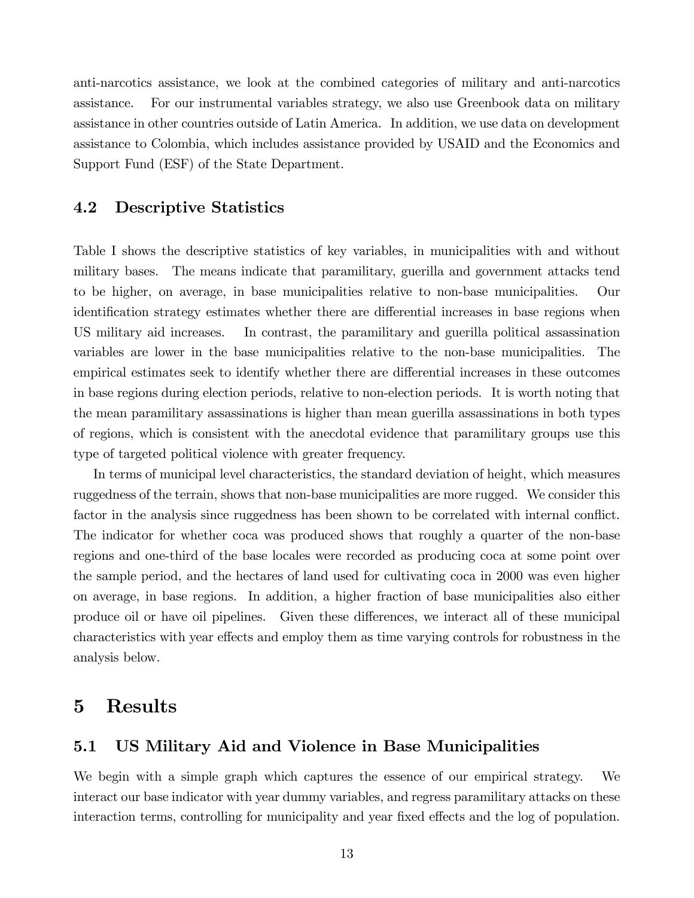anti-narcotics assistance, we look at the combined categories of military and anti-narcotics assistance. For our instrumental variables strategy, we also use Greenbook data on military assistance in other countries outside of Latin America. In addition, we use data on development assistance to Colombia, which includes assistance provided by USAID and the Economics and Support Fund (ESF) of the State Department.

# 4.2 Descriptive Statistics

Table I shows the descriptive statistics of key variables, in municipalities with and without military bases. The means indicate that paramilitary, guerilla and government attacks tend to be higher, on average, in base municipalities relative to non-base municipalities. Our identification strategy estimates whether there are differential increases in base regions when US military aid increases. In contrast, the paramilitary and guerilla political assassination variables are lower in the base municipalities relative to the non-base municipalities. The empirical estimates seek to identify whether there are differential increases in these outcomes in base regions during election periods, relative to non-election periods. It is worth noting that the mean paramilitary assassinations is higher than mean guerilla assassinations in both types of regions, which is consistent with the anecdotal evidence that paramilitary groups use this type of targeted political violence with greater frequency.

In terms of municipal level characteristics, the standard deviation of height, which measures ruggedness of the terrain, shows that non-base municipalities are more rugged. We consider this factor in the analysis since ruggedness has been shown to be correlated with internal conflict. The indicator for whether coca was produced shows that roughly a quarter of the non-base regions and one-third of the base locales were recorded as producing coca at some point over the sample period, and the hectares of land used for cultivating coca in 2000 was even higher on average, in base regions. In addition, a higher fraction of base municipalities also either produce oil or have oil pipelines. Given these differences, we interact all of these municipal characteristics with year effects and employ them as time varying controls for robustness in the analysis below.

# 5 Results

# 5.1 US Military Aid and Violence in Base Municipalities

We begin with a simple graph which captures the essence of our empirical strategy. We interact our base indicator with year dummy variables, and regress paramilitary attacks on these interaction terms, controlling for municipality and year fixed effects and the log of population.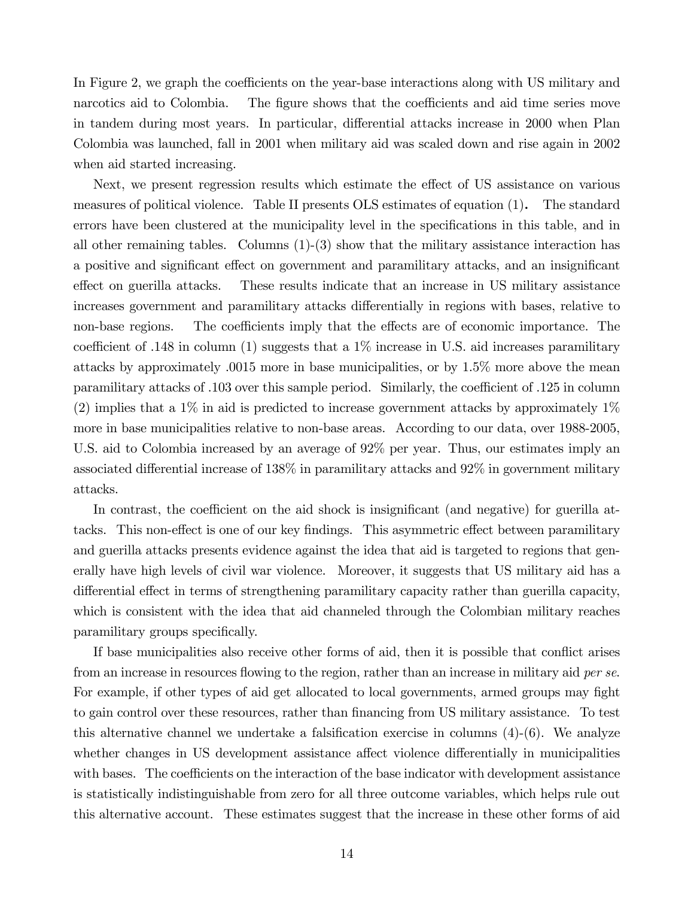In Figure 2, we graph the coefficients on the year-base interactions along with US military and narcotics aid to Colombia. The figure shows that the coefficients and aid time series move in tandem during most years. In particular, differential attacks increase in 2000 when Plan Colombia was launched, fall in 2001 when military aid was scaled down and rise again in 2002 when aid started increasing.

Next, we present regression results which estimate the effect of US assistance on various measures of political violence. Table II presents OLS estimates of equation (1). The standard errors have been clustered at the municipality level in the specifications in this table, and in all other remaining tables. Columns  $(1)-(3)$  show that the military assistance interaction has a positive and significant effect on government and paramilitary attacks, and an insignificant effect on guerilla attacks. These results indicate that an increase in US military assistance increases government and paramilitary attacks differentially in regions with bases, relative to non-base regions. The coefficients imply that the effects are of economic importance. The coefficient of .148 in column (1) suggests that a  $1\%$  increase in U.S. aid increases paramilitary attacks by approximately .0015 more in base municipalities, or by 1.5% more above the mean paramilitary attacks of .103 over this sample period. Similarly, the coefficient of .125 in column (2) implies that a  $1\%$  in aid is predicted to increase government attacks by approximately  $1\%$ more in base municipalities relative to non-base areas. According to our data, over 1988-2005, U.S. aid to Colombia increased by an average of 92% per year. Thus, our estimates imply an associated differential increase of  $138\%$  in paramilitary attacks and  $92\%$  in government military attacks.

In contrast, the coefficient on the aid shock is insignificant (and negative) for guerilla attacks. This non-effect is one of our key findings. This asymmetric effect between paramilitary and guerilla attacks presents evidence against the idea that aid is targeted to regions that generally have high levels of civil war violence. Moreover, it suggests that US military aid has a differential effect in terms of strengthening paramilitary capacity rather than guerilla capacity, which is consistent with the idea that aid channeled through the Colombian military reaches paramilitary groups specifically.

If base municipalities also receive other forms of aid, then it is possible that conflict arises from an increase in resources flowing to the region, rather than an increase in military aid *per se*. For example, if other types of aid get allocated to local governments, armed groups may fight to gain control over these resources, rather than financing from US military assistance. To test this alternative channel we undertake a falsification exercise in columns  $(4)-(6)$ . We analyze whether changes in US development assistance affect violence differentially in municipalities with bases. The coefficients on the interaction of the base indicator with development assistance is statistically indistinguishable from zero for all three outcome variables, which helps rule out this alternative account. These estimates suggest that the increase in these other forms of aid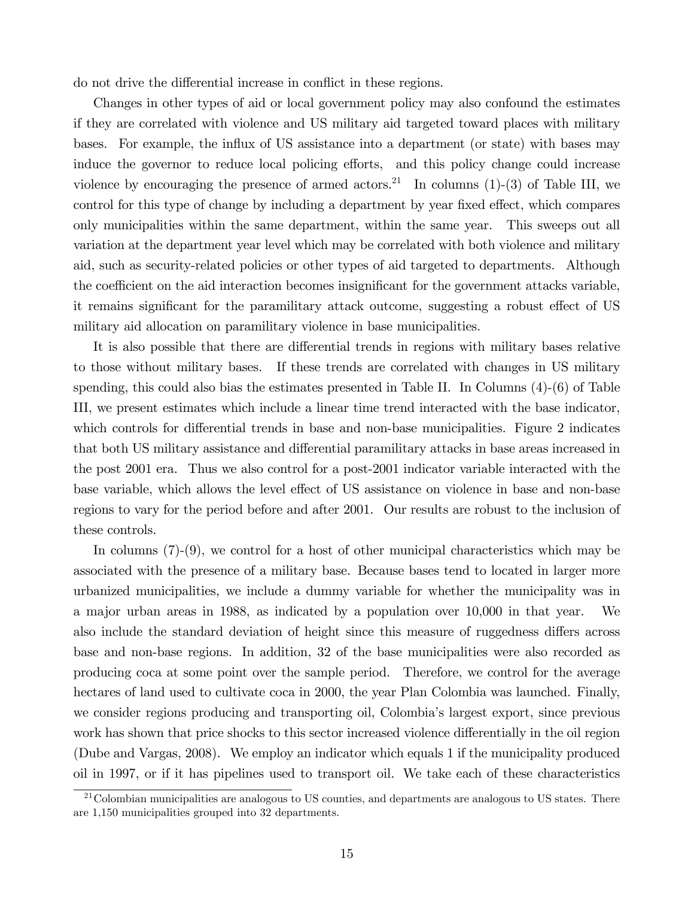do not drive the differential increase in conflict in these regions.

Changes in other types of aid or local government policy may also confound the estimates if they are correlated with violence and US military aid targeted toward places with military bases. For example, the influx of US assistance into a department (or state) with bases may induce the governor to reduce local policing efforts, and this policy change could increase violence by encouraging the presence of armed actors.<sup>21</sup> In columns  $(1)-(3)$  of Table III, we control for this type of change by including a department by year fixed effect, which compares only municipalities within the same department, within the same year. This sweeps out all variation at the department year level which may be correlated with both violence and military aid, such as security-related policies or other types of aid targeted to departments. Although the coefficient on the aid interaction becomes insignificant for the government attacks variable, it remains significant for the paramilitary attack outcome, suggesting a robust effect of US military aid allocation on paramilitary violence in base municipalities.

It is also possible that there are differential trends in regions with military bases relative to those without military bases. If these trends are correlated with changes in US military spending, this could also bias the estimates presented in Table II. In Columns (4)-(6) of Table III, we present estimates which include a linear time trend interacted with the base indicator, which controls for differential trends in base and non-base municipalities. Figure 2 indicates that both US military assistance and differential paramilitary attacks in base areas increased in the post 2001 era. Thus we also control for a post-2001 indicator variable interacted with the base variable, which allows the level effect of US assistance on violence in base and non-base regions to vary for the period before and after 2001. Our results are robust to the inclusion of these controls.

In columns (7)-(9), we control for a host of other municipal characteristics which may be associated with the presence of a military base. Because bases tend to located in larger more urbanized municipalities, we include a dummy variable for whether the municipality was in a major urban areas in 1988, as indicated by a population over 10,000 in that year. We also include the standard deviation of height since this measure of ruggedness differs across base and non-base regions. In addition, 32 of the base municipalities were also recorded as producing coca at some point over the sample period. Therefore, we control for the average hectares of land used to cultivate coca in 2000, the year Plan Colombia was launched. Finally, we consider regions producing and transporting oil, Colombiaís largest export, since previous work has shown that price shocks to this sector increased violence differentially in the oil region (Dube and Vargas, 2008). We employ an indicator which equals 1 if the municipality produced oil in 1997, or if it has pipelines used to transport oil. We take each of these characteristics

 $21$ Colombian municipalities are analogous to US counties, and departments are analogous to US states. There are 1,150 municipalities grouped into 32 departments.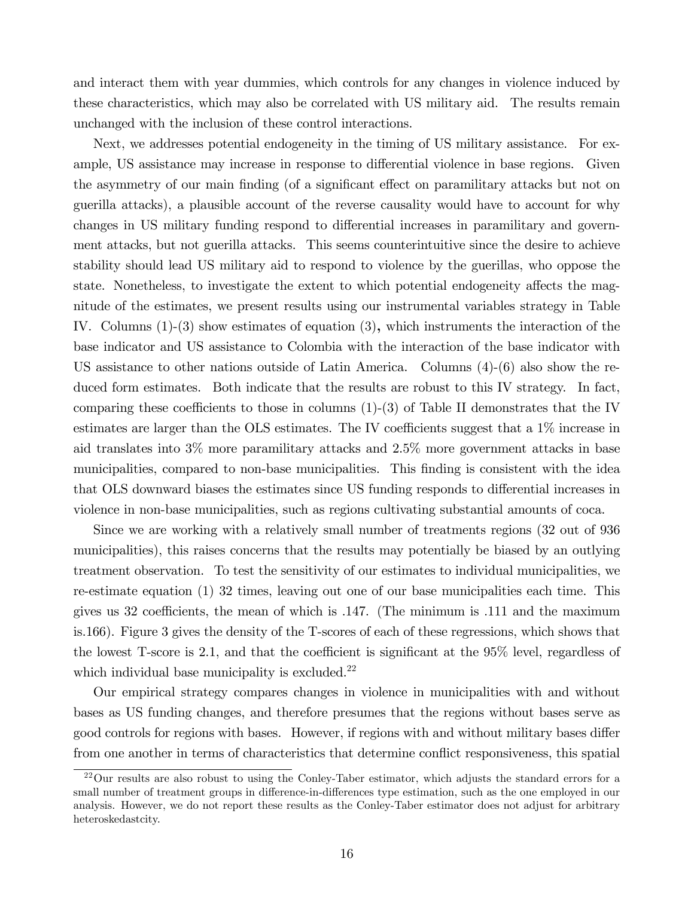and interact them with year dummies, which controls for any changes in violence induced by these characteristics, which may also be correlated with US military aid. The results remain unchanged with the inclusion of these control interactions.

Next, we addresses potential endogeneity in the timing of US military assistance. For example, US assistance may increase in response to differential violence in base regions. Given the asymmetry of our main finding (of a significant effect on paramilitary attacks but not on guerilla attacks), a plausible account of the reverse causality would have to account for why changes in US military funding respond to differential increases in paramilitary and government attacks, but not guerilla attacks. This seems counterintuitive since the desire to achieve stability should lead US military aid to respond to violence by the guerillas, who oppose the state. Nonetheless, to investigate the extent to which potential endogeneity affects the magnitude of the estimates, we present results using our instrumental variables strategy in Table IV. Columns (1)-(3) show estimates of equation (3), which instruments the interaction of the base indicator and US assistance to Colombia with the interaction of the base indicator with US assistance to other nations outside of Latin America. Columns (4)-(6) also show the reduced form estimates. Both indicate that the results are robust to this IV strategy. In fact, comparing these coefficients to those in columns  $(1)-(3)$  of Table II demonstrates that the IV estimates are larger than the OLS estimates. The IV coefficients suggest that a  $1\%$  increase in aid translates into 3% more paramilitary attacks and 2.5% more government attacks in base municipalities, compared to non-base municipalities. This finding is consistent with the idea that OLS downward biases the estimates since US funding responds to differential increases in violence in non-base municipalities, such as regions cultivating substantial amounts of coca.

Since we are working with a relatively small number of treatments regions (32 out of 936 municipalities), this raises concerns that the results may potentially be biased by an outlying treatment observation. To test the sensitivity of our estimates to individual municipalities, we re-estimate equation (1) 32 times, leaving out one of our base municipalities each time. This gives us 32 coefficients, the mean of which is  $.147$ . (The minimum is  $.111$  and the maximum is.166). Figure 3 gives the density of the T-scores of each of these regressions, which shows that the lowest T-score is 2.1, and that the coefficient is significant at the  $95\%$  level, regardless of which individual base municipality is excluded.<sup>22</sup>

Our empirical strategy compares changes in violence in municipalities with and without bases as US funding changes, and therefore presumes that the regions without bases serve as good controls for regions with bases. However, if regions with and without military bases differ from one another in terms of characteristics that determine conflict responsiveness, this spatial

<sup>&</sup>lt;sup>22</sup>Our results are also robust to using the Conley-Taber estimator, which adjusts the standard errors for a small number of treatment groups in difference-in-differences type estimation, such as the one employed in our analysis. However, we do not report these results as the Conley-Taber estimator does not adjust for arbitrary heteroskedastcity.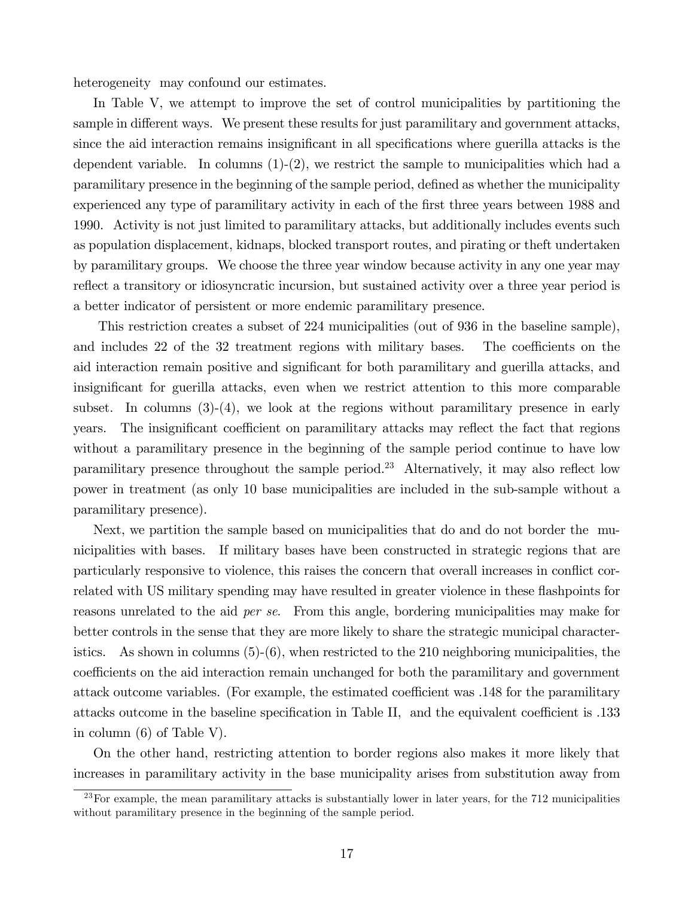heterogeneity may confound our estimates.

In Table V, we attempt to improve the set of control municipalities by partitioning the sample in different ways. We present these results for just paramilitary and government attacks, since the aid interaction remains insignificant in all specifications where guerilla attacks is the dependent variable. In columns  $(1)-(2)$ , we restrict the sample to municipalities which had a paramilitary presence in the beginning of the sample period, defined as whether the municipality experienced any type of paramilitary activity in each of the first three years between 1988 and 1990. Activity is not just limited to paramilitary attacks, but additionally includes events such as population displacement, kidnaps, blocked transport routes, and pirating or theft undertaken by paramilitary groups. We choose the three year window because activity in any one year may reflect a transitory or idiosyncratic incursion, but sustained activity over a three year period is a better indicator of persistent or more endemic paramilitary presence.

This restriction creates a subset of 224 municipalities (out of 936 in the baseline sample), and includes 22 of the 32 treatment regions with military bases. The coefficients on the aid interaction remain positive and significant for both paramilitary and guerilla attacks, and insignificant for guerilla attacks, even when we restrict attention to this more comparable subset. In columns  $(3)-(4)$ , we look at the regions without paramilitary presence in early years. The insignificant coefficient on paramilitary attacks may reflect the fact that regions without a paramilitary presence in the beginning of the sample period continue to have low paramilitary presence throughout the sample period.<sup>23</sup> Alternatively, it may also reflect low power in treatment (as only 10 base municipalities are included in the sub-sample without a paramilitary presence).

Next, we partition the sample based on municipalities that do and do not border the municipalities with bases. If military bases have been constructed in strategic regions that are particularly responsive to violence, this raises the concern that overall increases in conflict correlated with US military spending may have resulted in greater violence in these flashpoints for reasons unrelated to the aid per se. From this angle, bordering municipalities may make for better controls in the sense that they are more likely to share the strategic municipal characteristics. As shown in columns (5)-(6), when restricted to the 210 neighboring municipalities, the coefficients on the aid interaction remain unchanged for both the paramilitary and government attack outcome variables. (For example, the estimated coefficient was .148 for the paramilitary attacks outcome in the baseline specification in Table II, and the equivalent coefficient is .133 in column (6) of Table V).

On the other hand, restricting attention to border regions also makes it more likely that increases in paramilitary activity in the base municipality arises from substitution away from

 $23$ For example, the mean paramilitary attacks is substantially lower in later years, for the 712 municipalities without paramilitary presence in the beginning of the sample period.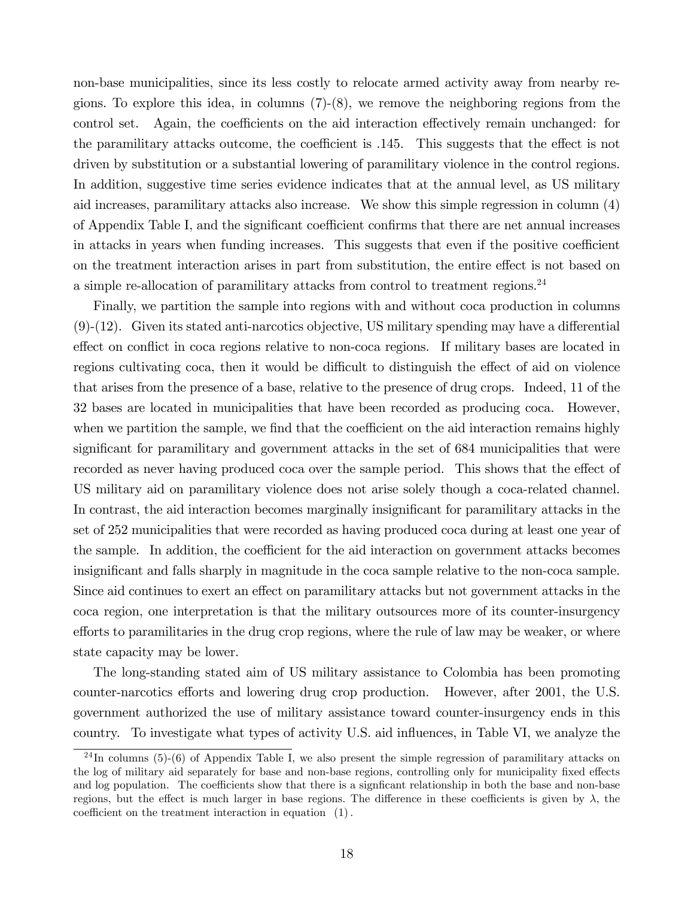non-base municipalities, since its less costly to relocate armed activity away from nearby regions. To explore this idea, in columns  $(7)-(8)$ , we remove the neighboring regions from the control set. Again, the coefficients on the aid interaction effectively remain unchanged: for the paramilitary attacks outcome, the coefficient is .145. This suggests that the effect is not driven by substitution or a substantial lowering of paramilitary violence in the control regions. In addition, suggestive time series evidence indicates that at the annual level, as US military aid increases, paramilitary attacks also increase. We show this simple regression in column (4) of Appendix Table I, and the significant coefficient confirms that there are net annual increases in attacks in years when funding increases. This suggests that even if the positive coefficient on the treatment interaction arises in part from substitution, the entire effect is not based on a simple re-allocation of paramilitary attacks from control to treatment regions.<sup>24</sup>

Finally, we partition the sample into regions with and without coca production in columns  $(9)-(12)$ . Given its stated anti-narcotics objective, US military spending may have a differential effect on conflict in coca regions relative to non-coca regions. If military bases are located in regions cultivating coca, then it would be difficult to distinguish the effect of aid on violence that arises from the presence of a base, relative to the presence of drug crops. Indeed, 11 of the 32 bases are located in municipalities that have been recorded as producing coca. However, when we partition the sample, we find that the coefficient on the aid interaction remains highly significant for paramilitary and government attacks in the set of 684 municipalities that were recorded as never having produced coca over the sample period. This shows that the effect of US military aid on paramilitary violence does not arise solely though a coca-related channel. In contrast, the aid interaction becomes marginally insignificant for paramilitary attacks in the set of 252 municipalities that were recorded as having produced coca during at least one year of the sample. In addition, the coefficient for the aid interaction on government attacks becomes insignificant and falls sharply in magnitude in the coca sample relative to the non-coca sample. Since aid continues to exert an effect on paramilitary attacks but not government attacks in the coca region, one interpretation is that the military outsources more of its counter-insurgency efforts to paramilitaries in the drug crop regions, where the rule of law may be weaker, or where state capacity may be lower.

The long-standing stated aim of US military assistance to Colombia has been promoting counter-narcotics efforts and lowering drug crop production. However, after 2001, the U.S. government authorized the use of military assistance toward counter-insurgency ends in this country. To investigate what types of activity U.S. aid ináuences, in Table VI, we analyze the

 $^{24}$ In columns (5)-(6) of Appendix Table I, we also present the simple regression of paramilitary attacks on the log of military aid separately for base and non-base regions, controlling only for municipality fixed effects and log population. The coefficients show that there is a significant relationship in both the base and non-base regions, but the effect is much larger in base regions. The difference in these coefficients is given by  $\lambda$ , the coefficient on the treatment interaction in equation  $(1)$ .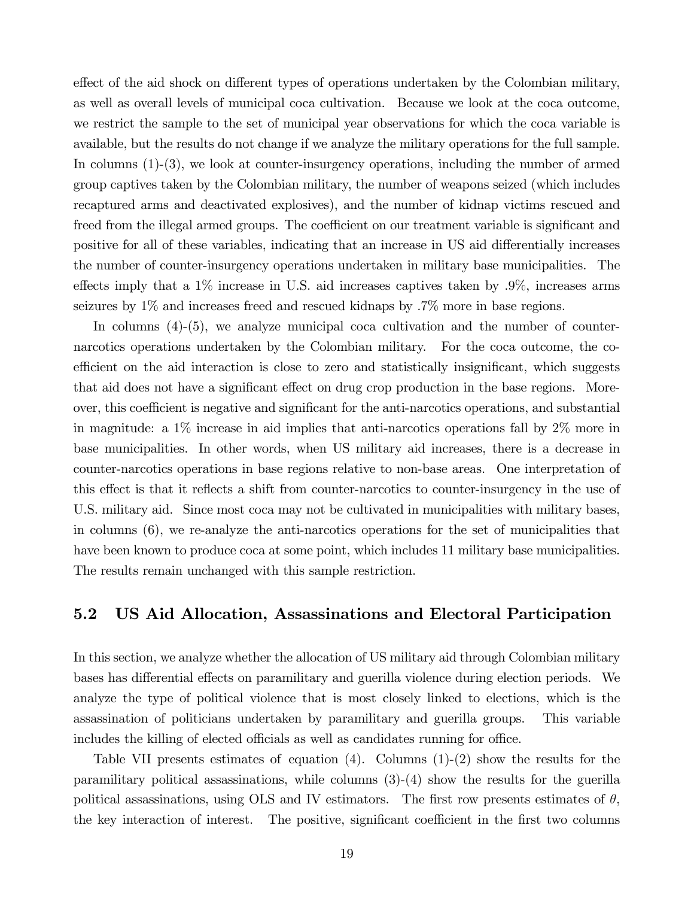effect of the aid shock on different types of operations undertaken by the Colombian military, as well as overall levels of municipal coca cultivation. Because we look at the coca outcome, we restrict the sample to the set of municipal year observations for which the coca variable is available, but the results do not change if we analyze the military operations for the full sample. In columns (1)-(3), we look at counter-insurgency operations, including the number of armed group captives taken by the Colombian military, the number of weapons seized (which includes recaptured arms and deactivated explosives), and the number of kidnap victims rescued and freed from the illegal armed groups. The coefficient on our treatment variable is significant and positive for all of these variables, indicating that an increase in US aid differentially increases the number of counter-insurgency operations undertaken in military base municipalities. The effects imply that a  $1\%$  increase in U.S. aid increases captives taken by  $.9\%$ , increases arms seizures by 1% and increases freed and rescued kidnaps by .7% more in base regions.

In columns  $(4)-(5)$ , we analyze municipal coca cultivation and the number of counternarcotics operations undertaken by the Colombian military. For the coca outcome, the coefficient on the aid interaction is close to zero and statistically insignificant, which suggests that aid does not have a significant effect on drug crop production in the base regions. Moreover, this coefficient is negative and significant for the anti-narcotics operations, and substantial in magnitude: a 1% increase in aid implies that anti-narcotics operations fall by 2% more in base municipalities. In other words, when US military aid increases, there is a decrease in counter-narcotics operations in base regions relative to non-base areas. One interpretation of this effect is that it reflects a shift from counter-narcotics to counter-insurgency in the use of U.S. military aid. Since most coca may not be cultivated in municipalities with military bases, in columns (6), we re-analyze the anti-narcotics operations for the set of municipalities that have been known to produce coca at some point, which includes 11 military base municipalities. The results remain unchanged with this sample restriction.

# 5.2 US Aid Allocation, Assassinations and Electoral Participation

In this section, we analyze whether the allocation of US military aid through Colombian military bases has differential effects on paramilitary and guerilla violence during election periods. We analyze the type of political violence that is most closely linked to elections, which is the assassination of politicians undertaken by paramilitary and guerilla groups. This variable includes the killing of elected officials as well as candidates running for office.

Table VII presents estimates of equation (4). Columns (1)-(2) show the results for the paramilitary political assassinations, while columns (3)-(4) show the results for the guerilla political assassinations, using OLS and IV estimators. The first row presents estimates of  $\theta$ , the key interaction of interest. The positive, significant coefficient in the first two columns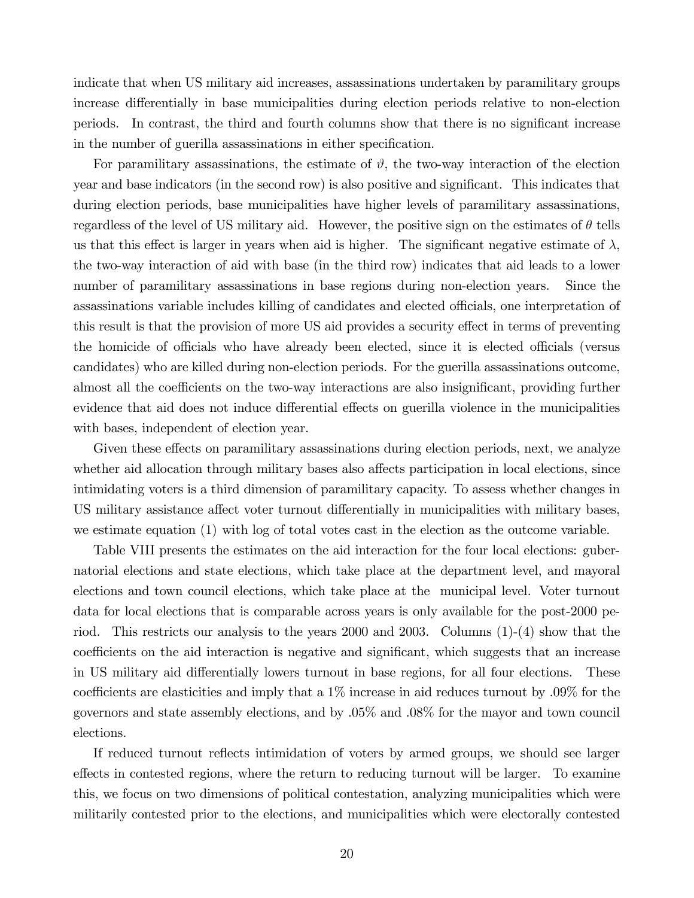indicate that when US military aid increases, assassinations undertaken by paramilitary groups increase differentially in base municipalities during election periods relative to non-election periods. In contrast, the third and fourth columns show that there is no significant increase in the number of guerilla assassinations in either specification.

For paramilitary assassinations, the estimate of  $\vartheta$ , the two-way interaction of the election year and base indicators (in the second row) is also positive and significant. This indicates that during election periods, base municipalities have higher levels of paramilitary assassinations, regardless of the level of US military aid. However, the positive sign on the estimates of  $\theta$  tells us that this effect is larger in years when aid is higher. The significant negative estimate of  $\lambda$ , the two-way interaction of aid with base (in the third row) indicates that aid leads to a lower number of paramilitary assassinations in base regions during non-election years. Since the assassinations variable includes killing of candidates and elected officials, one interpretation of this result is that the provision of more US aid provides a security effect in terms of preventing the homicide of officials who have already been elected, since it is elected officials (versus candidates) who are killed during non-election periods. For the guerilla assassinations outcome, almost all the coefficients on the two-way interactions are also insignificant, providing further evidence that aid does not induce differential effects on guerilla violence in the municipalities with bases, independent of election year.

Given these effects on paramilitary assassinations during election periods, next, we analyze whether aid allocation through military bases also affects participation in local elections, since intimidating voters is a third dimension of paramilitary capacity. To assess whether changes in US military assistance affect voter turnout differentially in municipalities with military bases, we estimate equation (1) with log of total votes cast in the election as the outcome variable.

Table VIII presents the estimates on the aid interaction for the four local elections: gubernatorial elections and state elections, which take place at the department level, and mayoral elections and town council elections, which take place at the municipal level. Voter turnout data for local elections that is comparable across years is only available for the post-2000 period. This restricts our analysis to the years 2000 and 2003. Columns (1)-(4) show that the coefficients on the aid interaction is negative and significant, which suggests that an increase in US military aid differentially lowers turnout in base regions, for all four elections. These coefficients are elasticities and imply that a  $1\%$  increase in aid reduces turnout by .09% for the governors and state assembly elections, and by .05% and .08% for the mayor and town council elections.

If reduced turnout reflects intimidation of voters by armed groups, we should see larger effects in contested regions, where the return to reducing turnout will be larger. To examine this, we focus on two dimensions of political contestation, analyzing municipalities which were militarily contested prior to the elections, and municipalities which were electorally contested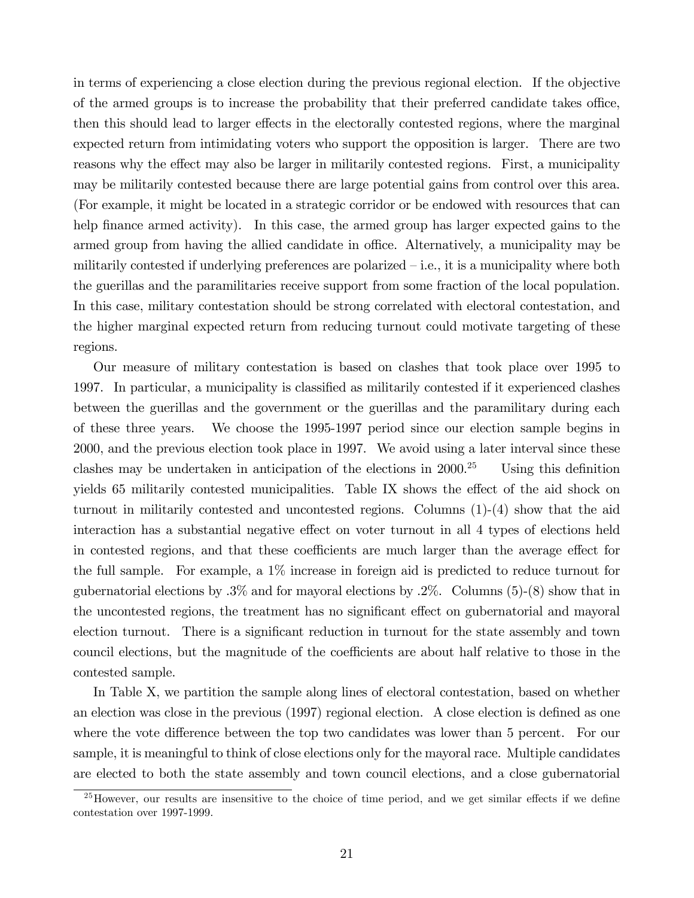in terms of experiencing a close election during the previous regional election. If the objective of the armed groups is to increase the probability that their preferred candidate takes office, then this should lead to larger effects in the electorally contested regions, where the marginal expected return from intimidating voters who support the opposition is larger. There are two reasons why the effect may also be larger in militarily contested regions. First, a municipality may be militarily contested because there are large potential gains from control over this area. (For example, it might be located in a strategic corridor or be endowed with resources that can help finance armed activity). In this case, the armed group has larger expected gains to the armed group from having the allied candidate in office. Alternatively, a municipality may be militarily contested if underlying preferences are polarized  $-$  i.e., it is a municipality where both the guerillas and the paramilitaries receive support from some fraction of the local population. In this case, military contestation should be strong correlated with electoral contestation, and the higher marginal expected return from reducing turnout could motivate targeting of these regions.

Our measure of military contestation is based on clashes that took place over 1995 to 1997. In particular, a municipality is classified as militarily contested if it experienced clashes between the guerillas and the government or the guerillas and the paramilitary during each of these three years. We choose the 1995-1997 period since our election sample begins in 2000, and the previous election took place in 1997. We avoid using a later interval since these clashes may be undertaken in anticipation of the elections in  $2000<sup>25</sup>$  Using this definition yields 65 militarily contested municipalities. Table IX shows the effect of the aid shock on turnout in militarily contested and uncontested regions. Columns (1)-(4) show that the aid interaction has a substantial negative effect on voter turnout in all 4 types of elections held in contested regions, and that these coefficients are much larger than the average effect for the full sample. For example, a 1% increase in foreign aid is predicted to reduce turnout for gubernatorial elections by  $.3\%$  and for mayoral elections by  $.2\%$ . Columns  $(5)-(8)$  show that in the uncontested regions, the treatment has no significant effect on gubernatorial and mayoral election turnout. There is a significant reduction in turnout for the state assembly and town council elections, but the magnitude of the coefficients are about half relative to those in the contested sample.

In Table X, we partition the sample along lines of electoral contestation, based on whether an election was close in the previous  $(1997)$  regional election. A close election is defined as one where the vote difference between the top two candidates was lower than 5 percent. For our sample, it is meaningful to think of close elections only for the mayoral race. Multiple candidates are elected to both the state assembly and town council elections, and a close gubernatorial

 $^{25}$ However, our results are insensitive to the choice of time period, and we get similar effects if we define contestation over 1997-1999.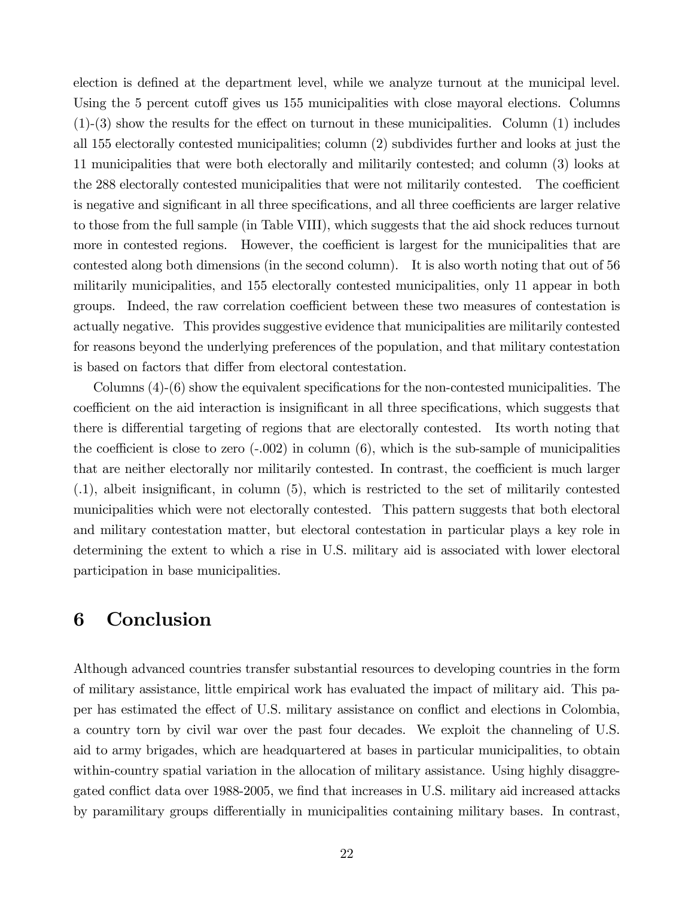election is defined at the department level, while we analyze turnout at the municipal level. Using the 5 percent cutoff gives us 155 municipalities with close mayoral elections. Columns  $(1)-(3)$  show the results for the effect on turnout in these municipalities. Column  $(1)$  includes all 155 electorally contested municipalities; column (2) subdivides further and looks at just the 11 municipalities that were both electorally and militarily contested; and column (3) looks at the 288 electorally contested municipalities that were not militarily contested. The coefficient is negative and significant in all three specifications, and all three coefficients are larger relative to those from the full sample (in Table VIII), which suggests that the aid shock reduces turnout more in contested regions. However, the coefficient is largest for the municipalities that are contested along both dimensions (in the second column). It is also worth noting that out of 56 militarily municipalities, and 155 electorally contested municipalities, only 11 appear in both groups. Indeed, the raw correlation coefficient between these two measures of contestation is actually negative. This provides suggestive evidence that municipalities are militarily contested for reasons beyond the underlying preferences of the population, and that military contestation is based on factors that differ from electoral contestation.

Columns  $(4)-(6)$  show the equivalent specifications for the non-contested municipalities. The coefficient on the aid interaction is insignificant in all three specifications, which suggests that there is differential targeting of regions that are electorally contested. Its worth noting that the coefficient is close to zero  $(-.002)$  in column  $(6)$ , which is the sub-sample of municipalities that are neither electorally nor militarily contested. In contrast, the coefficient is much larger  $(0.1)$ , albeit insignificant, in column  $(5)$ , which is restricted to the set of militarily contested municipalities which were not electorally contested. This pattern suggests that both electoral and military contestation matter, but electoral contestation in particular plays a key role in determining the extent to which a rise in U.S. military aid is associated with lower electoral participation in base municipalities.

# 6 Conclusion

Although advanced countries transfer substantial resources to developing countries in the form of military assistance, little empirical work has evaluated the impact of military aid. This paper has estimated the effect of U.S. military assistance on conflict and elections in Colombia, a country torn by civil war over the past four decades. We exploit the channeling of U.S. aid to army brigades, which are headquartered at bases in particular municipalities, to obtain within-country spatial variation in the allocation of military assistance. Using highly disaggregated conflict data over 1988-2005, we find that increases in U.S. military aid increased attacks by paramilitary groups differentially in municipalities containing military bases. In contrast,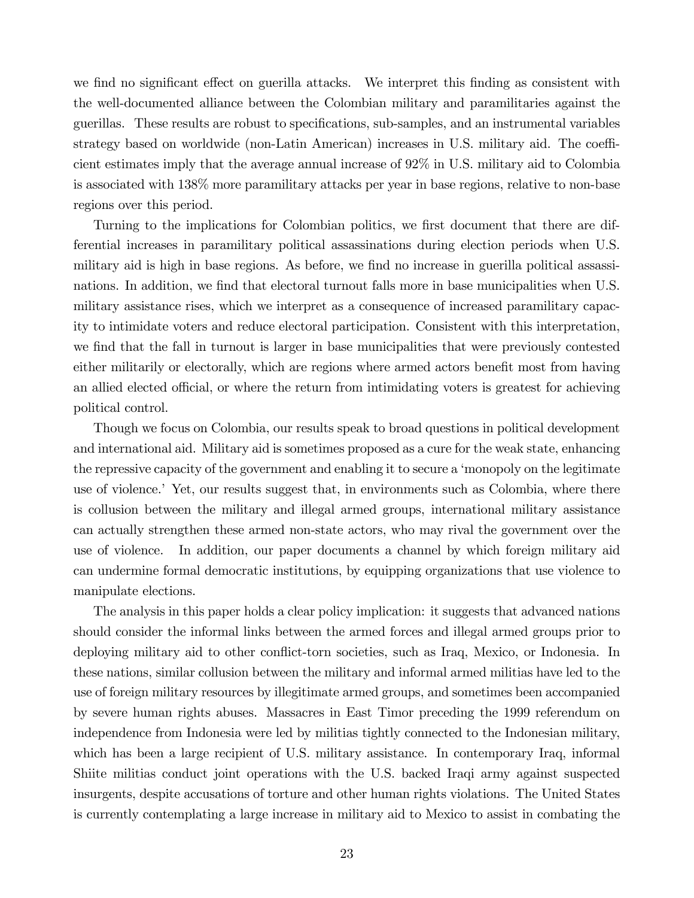we find no significant effect on guerilla attacks. We interpret this finding as consistent with the well-documented alliance between the Colombian military and paramilitaries against the guerillas. These results are robust to specifications, sub-samples, and an instrumental variables strategy based on worldwide (non-Latin American) increases in U.S. military aid. The coefficient estimates imply that the average annual increase of 92% in U.S. military aid to Colombia is associated with 138% more paramilitary attacks per year in base regions, relative to non-base regions over this period.

Turning to the implications for Colombian politics, we first document that there are differential increases in paramilitary political assassinations during election periods when U.S. military aid is high in base regions. As before, we find no increase in guerilla political assassinations. In addition, we find that electoral turnout falls more in base municipalities when U.S. military assistance rises, which we interpret as a consequence of increased paramilitary capacity to intimidate voters and reduce electoral participation. Consistent with this interpretation, we find that the fall in turnout is larger in base municipalities that were previously contested either militarily or electorally, which are regions where armed actors benefit most from having an allied elected official, or where the return from intimidating voters is greatest for achieving political control.

Though we focus on Colombia, our results speak to broad questions in political development and international aid. Military aid is sometimes proposed as a cure for the weak state, enhancing the repressive capacity of the government and enabling it to secure a 'monopoly on the legitimate use of violence.<sup>†</sup> Yet, our results suggest that, in environments such as Colombia, where there is collusion between the military and illegal armed groups, international military assistance can actually strengthen these armed non-state actors, who may rival the government over the use of violence. In addition, our paper documents a channel by which foreign military aid can undermine formal democratic institutions, by equipping organizations that use violence to manipulate elections.

The analysis in this paper holds a clear policy implication: it suggests that advanced nations should consider the informal links between the armed forces and illegal armed groups prior to deploying military aid to other conflict-torn societies, such as Iraq, Mexico, or Indonesia. In these nations, similar collusion between the military and informal armed militias have led to the use of foreign military resources by illegitimate armed groups, and sometimes been accompanied by severe human rights abuses. Massacres in East Timor preceding the 1999 referendum on independence from Indonesia were led by militias tightly connected to the Indonesian military, which has been a large recipient of U.S. military assistance. In contemporary Iraq, informal Shiite militias conduct joint operations with the U.S. backed Iraqi army against suspected insurgents, despite accusations of torture and other human rights violations. The United States is currently contemplating a large increase in military aid to Mexico to assist in combating the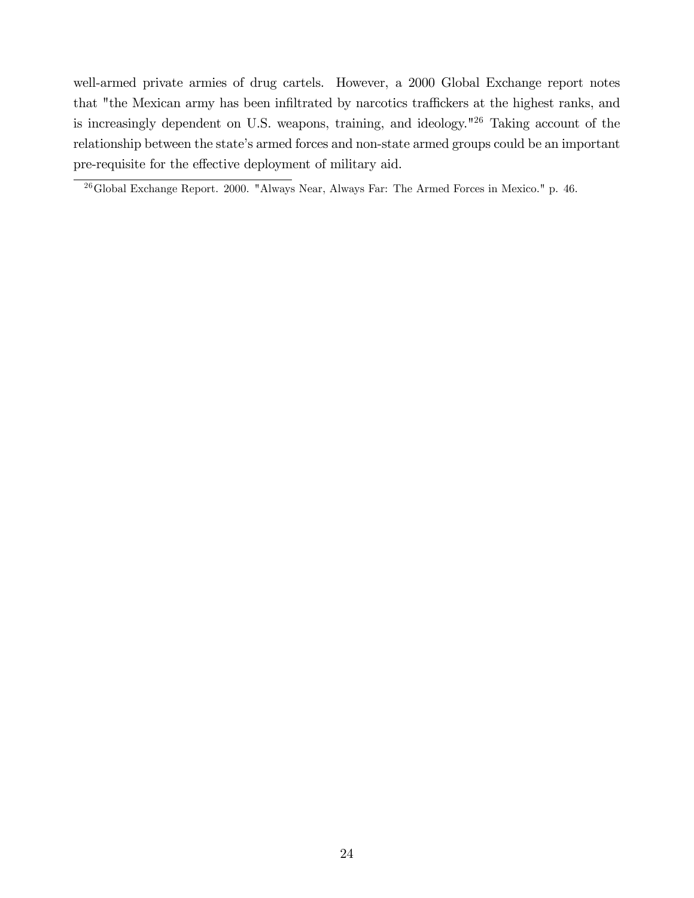well-armed private armies of drug cartels. However, a 2000 Global Exchange report notes that "the Mexican army has been infiltrated by narcotics traffickers at the highest ranks, and is increasingly dependent on U.S. weapons, training, and ideology."<sup>26</sup> Taking account of the relationship between the state's armed forces and non-state armed groups could be an important pre-requisite for the effective deployment of military aid.

<sup>&</sup>lt;sup>26</sup>Global Exchange Report. 2000. "Always Near, Always Far: The Armed Forces in Mexico." p. 46.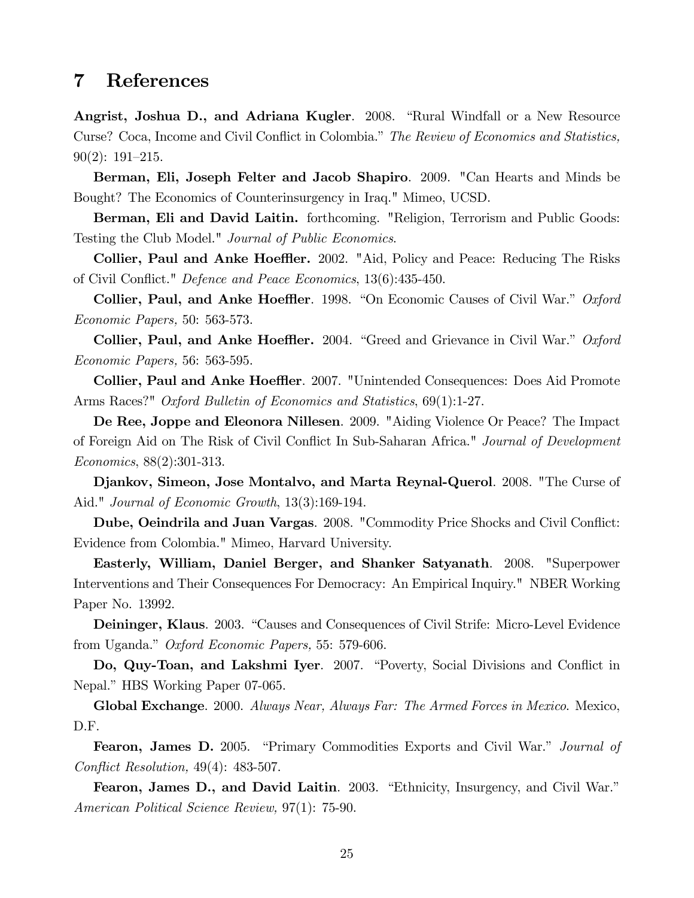# 7 References

**Angrist, Joshua D., and Adriana Kugler.** 2008. "Rural Windfall or a New Resource Curse? Coca, Income and Civil Conflict in Colombia." The Review of Economics and Statistics,  $90(2): 191-215.$ 

Berman, Eli, Joseph Felter and Jacob Shapiro. 2009. "Can Hearts and Minds be Bought? The Economics of Counterinsurgency in Iraq." Mimeo, UCSD.

Berman, Eli and David Laitin. forthcoming. "Religion, Terrorism and Public Goods: Testing the Club Model." Journal of Public Economics.

Collier, Paul and Anke Hoeffler. 2002. "Aid, Policy and Peace: Reducing The Risks of Civil Conflict." Defence and Peace Economics, 13(6):435-450.

Collier, Paul, and Anke Hoeffler. 1998. "On Economic Causes of Civil War." Oxford Economic Papers, 50: 563-573.

Collier, Paul, and Anke Hoeffler. 2004. "Greed and Grievance in Civil War." Oxford Economic Papers, 56: 563-595.

Collier, Paul and Anke Hoeffler. 2007. "Unintended Consequences: Does Aid Promote Arms Races?" Oxford Bulletin of Economics and Statistics, 69(1):1-27.

De Ree, Joppe and Eleonora Nillesen. 2009. "Aiding Violence Or Peace? The Impact of Foreign Aid on The Risk of Civil Conflict In Sub-Saharan Africa." Journal of Development Economics, 88(2):301-313.

Djankov, Simeon, Jose Montalvo, and Marta Reynal-Querol. 2008. "The Curse of Aid." Journal of Economic Growth, 13(3):169-194.

Dube, Oeindrila and Juan Vargas. 2008. "Commodity Price Shocks and Civil Conflict: Evidence from Colombia." Mimeo, Harvard University.

Easterly, William, Daniel Berger, and Shanker Satyanath. 2008. "Superpower Interventions and Their Consequences For Democracy: An Empirical Inquiry." NBER Working Paper No. 13992.

**Deininger, Klaus.** 2003. "Causes and Consequences of Civil Strife: Micro-Level Evidence from Uganda." Oxford Economic Papers, 55: 579-606.

Do, Quy-Toan, and Lakshmi Iyer. 2007. "Poverty, Social Divisions and Conflict in Nepal." HBS Working Paper 07-065.

Global Exchange. 2000. Always Near, Always Far: The Armed Forces in Mexico. Mexico, D.F.

Fearon, James D. 2005. "Primary Commodities Exports and Civil War." Journal of Conflict Resolution,  $49(4)$ :  $483-507$ .

Fearon, James D., and David Laitin. 2003. "Ethnicity, Insurgency, and Civil War." American Political Science Review, 97(1): 75-90.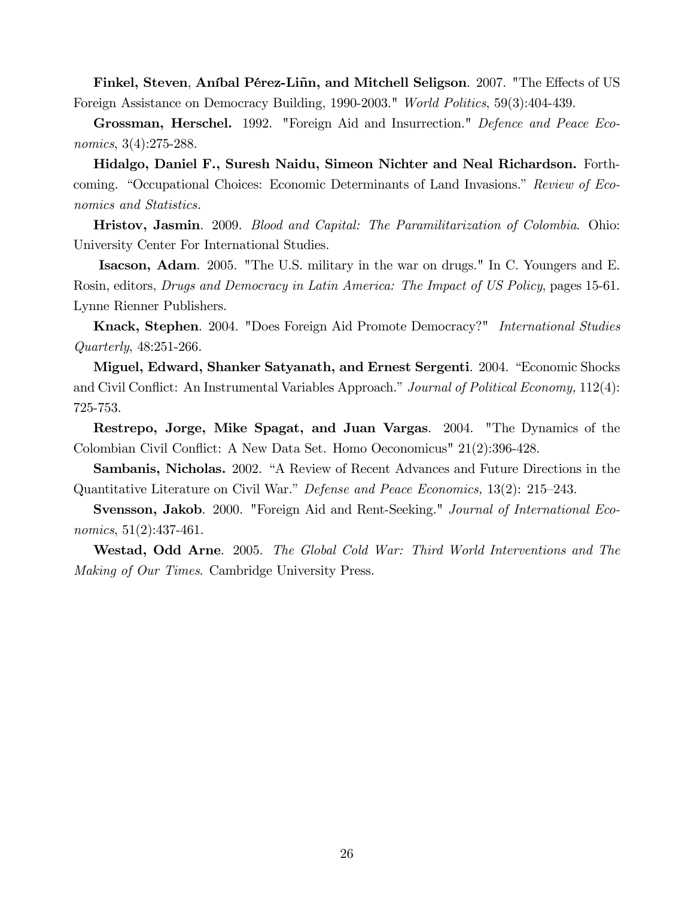Finkel, Steven, Aníbal Pérez-Liñn, and Mitchell Seligson. 2007. "The Effects of US Foreign Assistance on Democracy Building, 1990-2003." World Politics, 59(3):404-439.

Grossman, Herschel. 1992. "Foreign Aid and Insurrection." Defence and Peace Economics, 3(4):275-288.

Hidalgo, Daniel F., Suresh Naidu, Simeon Nichter and Neal Richardson. Forthcoming. "Occupational Choices: Economic Determinants of Land Invasions." Review of Economics and Statistics.

Hristov, Jasmin. 2009. Blood and Capital: The Paramilitarization of Colombia. Ohio: University Center For International Studies.

Isacson, Adam. 2005. "The U.S. military in the war on drugs." In C. Youngers and E. Rosin, editors, Drugs and Democracy in Latin America: The Impact of US Policy, pages 15-61. Lynne Rienner Publishers.

Knack, Stephen. 2004. "Does Foreign Aid Promote Democracy?" International Studies Quarterly, 48:251-266.

Miguel, Edward, Shanker Satyanath, and Ernest Sergenti. 2004. "Economic Shocks and Civil Conflict: An Instrumental Variables Approach." Journal of Political Economy,  $112(4)$ : 725-753.

Restrepo, Jorge, Mike Spagat, and Juan Vargas. 2004. "The Dynamics of the Colombian Civil Conáict: A New Data Set. Homo Oeconomicus" 21(2):396-428.

**Sambanis, Nicholas.** 2002. "A Review of Recent Advances and Future Directions in the Quantitative Literature on Civil War." Defense and Peace Economics,  $13(2)$ :  $215-243$ .

Svensson, Jakob. 2000. "Foreign Aid and Rent-Seeking." Journal of International Economics, 51(2):437-461.

Westad, Odd Arne. 2005. The Global Cold War: Third World Interventions and The Making of Our Times. Cambridge University Press.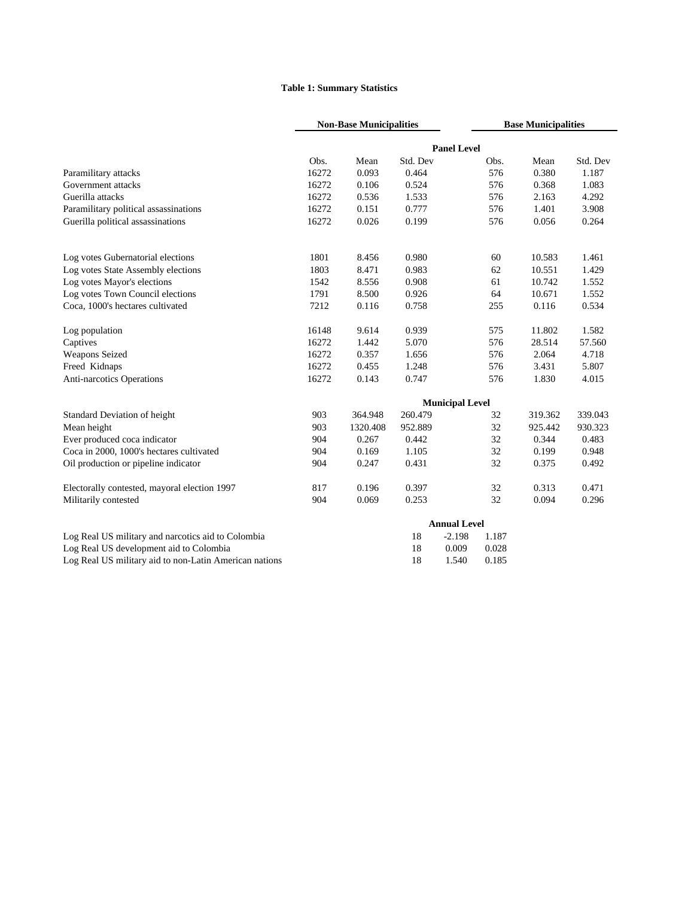### **Table 1: Summary Statistics**

|                                                    |       | <b>Non-Base Municipalities</b> |          |                        |       | <b>Base Municipalities</b> |          |  |
|----------------------------------------------------|-------|--------------------------------|----------|------------------------|-------|----------------------------|----------|--|
|                                                    |       |                                |          | <b>Panel Level</b>     |       |                            |          |  |
|                                                    | Obs.  | Mean                           | Std. Dev |                        | Obs.  | Mean                       | Std. Dev |  |
| Paramilitary attacks                               | 16272 | 0.093                          | 0.464    |                        | 576   | 0.380                      | 1.187    |  |
| Government attacks                                 | 16272 | 0.106                          | 0.524    |                        | 576   | 0.368                      | 1.083    |  |
| Guerilla attacks                                   | 16272 | 0.536                          | 1.533    |                        | 576   | 2.163                      | 4.292    |  |
| Paramilitary political assassinations              | 16272 | 0.151                          | 0.777    |                        | 576   | 1.401                      | 3.908    |  |
| Guerilla political assassinations                  | 16272 | 0.026                          | 0.199    |                        | 576   | 0.056                      | 0.264    |  |
| Log votes Gubernatorial elections                  | 1801  | 8.456                          | 0.980    |                        | 60    | 10.583                     | 1.461    |  |
| Log votes State Assembly elections                 | 1803  | 8.471                          | 0.983    |                        | 62    | 10.551                     | 1.429    |  |
| Log votes Mayor's elections                        | 1542  | 8.556                          | 0.908    |                        | 61    | 10.742                     | 1.552    |  |
| Log votes Town Council elections                   | 1791  | 8.500                          | 0.926    |                        | 64    | 10.671                     | 1.552    |  |
| Coca, 1000's hectares cultivated                   | 7212  | 0.116                          | 0.758    |                        | 255   | 0.116                      | 0.534    |  |
| Log population                                     | 16148 | 9.614                          | 0.939    |                        | 575   | 11.802                     | 1.582    |  |
| Captives                                           | 16272 | 1.442                          | 5.070    |                        | 576   | 28.514                     | 57.560   |  |
| <b>Weapons Seized</b>                              | 16272 | 0.357                          | 1.656    |                        | 576   | 2.064                      | 4.718    |  |
| Freed Kidnaps                                      | 16272 | 0.455                          | 1.248    |                        | 576   | 3.431                      | 5.807    |  |
| Anti-narcotics Operations                          | 16272 | 0.143                          | 0.747    |                        | 576   | 1.830                      | 4.015    |  |
|                                                    |       |                                |          | <b>Municipal Level</b> |       |                            |          |  |
| Standard Deviation of height                       | 903   | 364.948                        | 260.479  |                        | 32    | 319.362                    | 339.043  |  |
| Mean height                                        | 903   | 1320.408                       | 952.889  |                        | 32    | 925.442                    | 930.323  |  |
| Ever produced coca indicator                       | 904   | 0.267                          | 0.442    |                        | 32    | 0.344                      | 0.483    |  |
| Coca in 2000, 1000's hectares cultivated           | 904   | 0.169                          | 1.105    |                        | 32    | 0.199                      | 0.948    |  |
| Oil production or pipeline indicator               | 904   | 0.247                          | 0.431    |                        | 32    | 0.375                      | 0.492    |  |
| Electorally contested, mayoral election 1997       | 817   | 0.196                          | 0.397    |                        | 32    | 0.313                      | 0.471    |  |
| Militarily contested                               | 904   | 0.069                          | 0.253    |                        | 32    | 0.094                      | 0.296    |  |
|                                                    |       |                                |          | <b>Annual Level</b>    |       |                            |          |  |
| Log Real US military and narcotics aid to Colombia |       |                                | 18       | $-2.198$               | 1.187 |                            |          |  |

Log Real US development aid to Colombia 18 0.009 0.028

Log Real US military aid to non-Latin American nations 18 1.540 0.185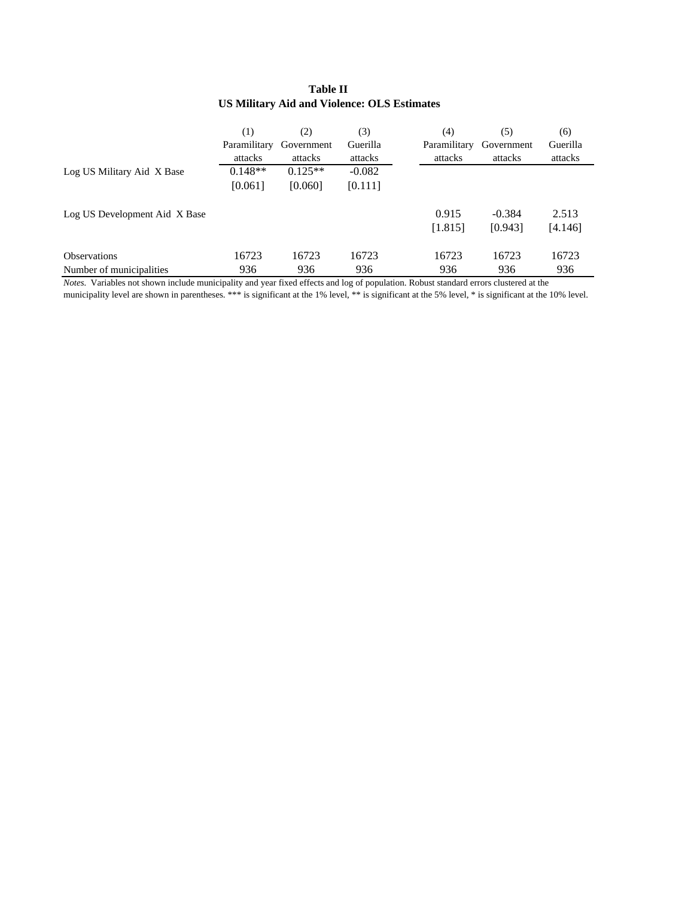### **Table II US Military Aid and Violence: OLS Estimates**

|                               | $\left(1\right)$ | (2)        | (3)      | (4)          | (5)        | (6)      |
|-------------------------------|------------------|------------|----------|--------------|------------|----------|
|                               | Paramilitary     | Government | Guerilla | Paramilitary | Government | Guerilla |
|                               | attacks          | attacks    | attacks  | attacks      | attacks    | attacks  |
| Log US Military Aid X Base    | $0.148**$        | $0.125**$  | $-0.082$ |              |            |          |
|                               | [0.061]          | [0.060]    | [0.111]  |              |            |          |
| Log US Development Aid X Base |                  |            |          | 0.915        | $-0.384$   | 2.513    |
|                               |                  |            |          | [1.815]      | [0.943]    | [4.146]  |
| <b>Observations</b>           | 16723            | 16723      | 16723    | 16723        | 16723      | 16723    |
| Number of municipalities      | 936              | 936        | 936      | 936          | 936        | 936      |

*Notes.* Variables not shown include municipality and year fixed effects and log of population. Robust standard errors clustered at the

municipality level are shown in parentheses. \*\*\* is significant at the 1% level, \*\* is significant at the 5% level, \* is significant at the 10% level.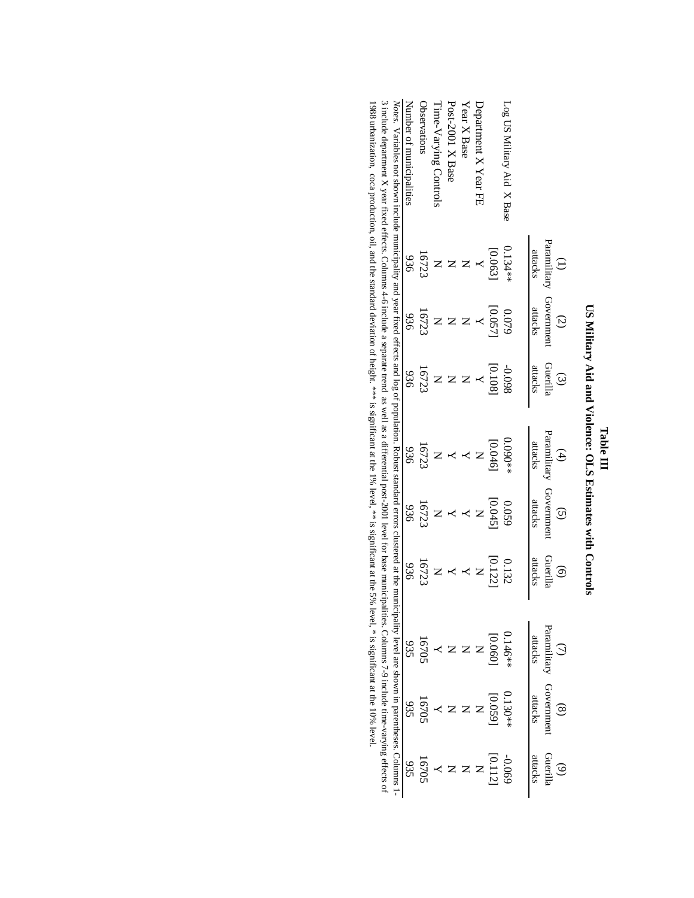|                                                                                                                                                                                                                                | attacks<br>$\widehat{E}$ | Paramilitary Government<br>attacks<br>$\odot$ | Guerilla<br>attacks<br>$\odot$ | attacks<br>$\left( 4\right)$ | Paramilitary Government<br>attacks<br>$\odot$ | Guerilla<br>attacks<br>$\odot$ | Paramilitary<br>attacks                                                    | Government<br>attacks | Guerill<br>attacks |
|--------------------------------------------------------------------------------------------------------------------------------------------------------------------------------------------------------------------------------|--------------------------|-----------------------------------------------|--------------------------------|------------------------------|-----------------------------------------------|--------------------------------|----------------------------------------------------------------------------|-----------------------|--------------------|
| Log US Miltary Aid X Base                                                                                                                                                                                                      | $0.134**$                | 6200                                          | -0.098                         | $0.090**$                    | 0.059                                         | 0.132                          | $0.146**$                                                                  |                       |                    |
|                                                                                                                                                                                                                                | [0.063]                  | [0.057]                                       | [0.108]                        | [0.046]                      | [0.045]                                       | [0.122]                        |                                                                            | [0.059]               |                    |
| Department X Year FE                                                                                                                                                                                                           |                          |                                               |                                |                              | Z                                             |                                |                                                                            |                       |                    |
| Year X Base                                                                                                                                                                                                                    |                          |                                               |                                |                              | ≺                                             | $\overline{\mathbf{K}}$        |                                                                            |                       |                    |
| Post-2001 X Base                                                                                                                                                                                                               |                          |                                               |                                | ◁                            |                                               | ≺                              |                                                                            |                       |                    |
| Time-Varying Controls                                                                                                                                                                                                          |                          |                                               |                                |                              |                                               | $\mathbf{z}$                   |                                                                            |                       |                    |
| Observations                                                                                                                                                                                                                   | 16723                    | 16723                                         | 16723                          | 16723                        | 16723                                         | 16723                          |                                                                            |                       |                    |
| Number of municipalities                                                                                                                                                                                                       | 936                      | 936                                           | 936                            | 936                          | 936                                           | 936                            | 935                                                                        | 935                   | 935                |
| Notes. Variables not shown include municipality and year fixed effects and log of population. Robust standard errors clustered at the munic                                                                                    |                          |                                               |                                |                              |                                               |                                | ipality level are shown in parentheses. Columns                            |                       |                    |
| s discussions of the process of the street of the process of the contents of the contents of the contents of the contents of the street of the street of the content of the content of the content of the content of the conte |                          |                                               |                                |                              |                                               |                                | $H_{\rm{tot}}$ . The final is the strain of the strategy of $H_{\rm{tot}}$ |                       |                    |

 **US Military Aid and Violence: OLS Estimates with Controls** US Military Aid and Violence: OLS Estimates with Controls **Table III Table III**

*Notes.*3 include department X year fixed effects. Columns 4-6 include a separate as well as a differential post-2001 level as well as a well as a well as a well as a well as a well as a differential post-2001 level fice. Columns 1988 urbanization, coca production, oil, and the standard deviation of height. \*\*\* is significant at the 1% level, \*\* is significant at the 5% level, \* is significant at the 10% level.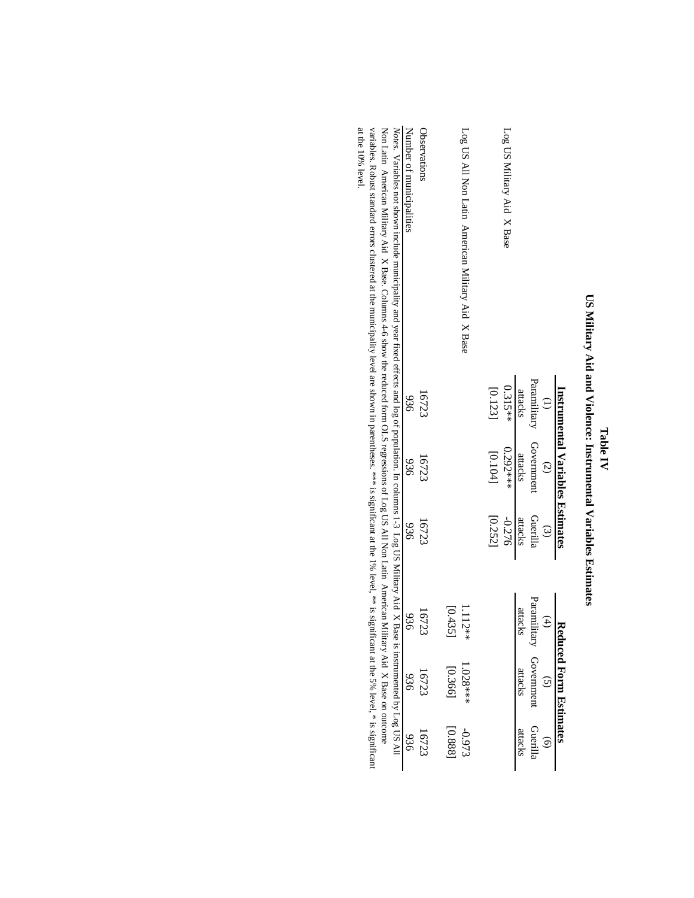| US Military Aid and Variables: Instrumental Variables Estimates | <b>Lable IV</b> |
|-----------------------------------------------------------------|-----------------|
|                                                                 |                 |
|                                                                 |                 |

| Notes. Variables solownic publishing the second parameter and the second of the second of the second of the second of the second of the second of $\lambda$ and $\lambda$ and $\lambda$ and $\lambda$ and $\lambda$ and $\lambda$ and $\lambda$ and $\lambda$ and $\lambda$ | Number of municipalities<br>936<br>936<br>936<br>936<br>936 | Observations<br>16723<br>16723<br>16723<br>16723<br>16723 | [0.435<br>[0.366] | Log US All Non Latin American Military Aid X Base<br>$1.112**$<br>$1.028***$ | [0.123]<br>[0.104]<br>[0.252] | Log US Military Aid X Base<br>$0.315**$<br>$0.292***$<br>-0.276 | attacks<br>attacks<br>attacks<br>attacks<br>attacks | Paramilitary Government<br>Guerilla<br>Paramilitary Government | $\overline{c}$<br>$\ddot{3}$<br>$\left( 4\right)$ | Instrumental Variables Extrumentes<br><b>Reduced Form Estimates</b> |
|-----------------------------------------------------------------------------------------------------------------------------------------------------------------------------------------------------------------------------------------------------------------------------|-------------------------------------------------------------|-----------------------------------------------------------|-------------------|------------------------------------------------------------------------------|-------------------------------|-----------------------------------------------------------------|-----------------------------------------------------|----------------------------------------------------------------|---------------------------------------------------|---------------------------------------------------------------------|
|                                                                                                                                                                                                                                                                             |                                                             |                                                           |                   |                                                                              |                               |                                                                 |                                                     |                                                                |                                                   |                                                                     |
|                                                                                                                                                                                                                                                                             | 936                                                         | 16723                                                     | [0.888]           | -0.973                                                                       |                               |                                                                 | attacks                                             | Guerilla                                                       |                                                   |                                                                     |

Non Latin American Military Aid X Base. Columns 4-6 show the reduced form OLS regressions of Log US All Non Latin American Military Aid X Base on outcome<br>variables. Robust standard errors clustered at the municipality leve Non Latin American Military Aid X Base. Columns 4-6 show the reduced form OLS regressions of Log US All Non Latin American Military Aid X Base on outcome variables. Robust standard errors clustered at the municipality level are shown in parentheses. \*\*\* is significant at the 1% level, \*\* is significant at the 1% level, \*\* is significant at the 1% level, \*\* at the 10% level.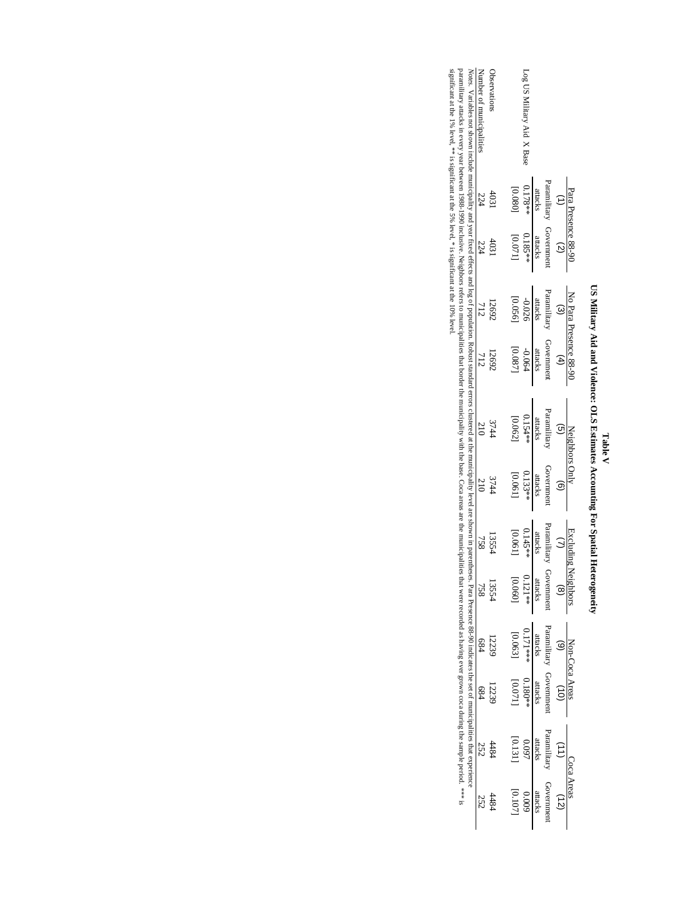|                                                           |                                                                                                                                                                                                                                                                                                                                                                                                                                                                   |      |                                                                                                                                       |       |                                                                                                                                               |      |                                                                                                                                                                            |                                                                            | Non-Coca Areas                                                                                    |      |                                                                                                             | <b>Coca</b> Areas |
|-----------------------------------------------------------|-------------------------------------------------------------------------------------------------------------------------------------------------------------------------------------------------------------------------------------------------------------------------------------------------------------------------------------------------------------------------------------------------------------------------------------------------------------------|------|---------------------------------------------------------------------------------------------------------------------------------------|-------|-----------------------------------------------------------------------------------------------------------------------------------------------|------|----------------------------------------------------------------------------------------------------------------------------------------------------------------------------|----------------------------------------------------------------------------|---------------------------------------------------------------------------------------------------|------|-------------------------------------------------------------------------------------------------------------|-------------------|
|                                                           | $\begin{tabular}{ll} \multicolumn{1}{l}{} \textbf{Pariance 88-90} \\ \textbf{Pariance 11} \\ \textbf{P} \\ \textbf{P} \\ \textbf{P} \\ \textbf{P} \\ \textbf{P} \\ \textbf{P} \\ \textbf{P} \\ \textbf{P} \\ \textbf{P} \\ \textbf{P} \\ \textbf{P} \\ \textbf{P} \\ \textbf{P} \\ \textbf{P} \\ \textbf{P} \\ \textbf{P} \\ \textbf{P} \\ \textbf{P} \\ \textbf{P} \\ \textbf{P} \\ \textbf{P} \\ \textbf{P} \\ \textbf{P} \\ \textbf{P} \\ \textbf{P} \\ \text$ |      | No Para Presence 88-90<br>Paramilitary Government<br>Paramilitary Government<br>attacks attacks<br>$\frac{1}{-0.026}$ [0.056] [0.087] |       | Neighbors Only<br>Paramilitary Government<br>Paramilitary Government<br>attacks<br>0.154 <sup>**</sup> 0.133 <sup>**</sup><br>[0.062] [0.061] |      |                                                                                                                                                                            |                                                                            | $\odot$                                                                                           | (01) | $\frac{1}{2}$                                                                                               |                   |
|                                                           |                                                                                                                                                                                                                                                                                                                                                                                                                                                                   |      |                                                                                                                                       |       |                                                                                                                                               |      |                                                                                                                                                                            | Governmen                                                                  |                                                                                                   |      | Paramilitary Governme                                                                                       |                   |
|                                                           |                                                                                                                                                                                                                                                                                                                                                                                                                                                                   |      |                                                                                                                                       |       |                                                                                                                                               |      |                                                                                                                                                                            |                                                                            |                                                                                                   |      | attacks                                                                                                     | attacks           |
| Log US Military Aid X Base                                |                                                                                                                                                                                                                                                                                                                                                                                                                                                                   |      |                                                                                                                                       |       |                                                                                                                                               |      |                                                                                                                                                                            |                                                                            |                                                                                                   |      | 0.097                                                                                                       |                   |
|                                                           |                                                                                                                                                                                                                                                                                                                                                                                                                                                                   |      |                                                                                                                                       |       |                                                                                                                                               |      | Excluding Neighbors<br>$\frac{(7)}{121}$<br>Paramilitary Govenne<br>attacks<br>$\frac{\text{attack}}{0.145^{***}}$<br>$\frac{0.121^{*}}{0.0611}$<br>$[0.061]$<br>$[0.061]$ | $\begin{array}{c} \text{attacks} \\ 0.121** \\ \text{[0.060]} \end{array}$ | Paramilitary Government<br>attacks<br>attacks<br>0.171 <sup>****</sup> 0.180**<br>[0.063] [0.071] |      | [0.131]                                                                                                     | [0.107]           |
| Observations                                              |                                                                                                                                                                                                                                                                                                                                                                                                                                                                   | 1031 | 12692                                                                                                                                 | 12692 | 3744                                                                                                                                          | 3744 | 13554                                                                                                                                                                      | 13554                                                                      |                                                                                                   |      |                                                                                                             |                   |
| Number of municipalities 24 224 224 12 12 210 210 210 758 |                                                                                                                                                                                                                                                                                                                                                                                                                                                                   |      |                                                                                                                                       |       |                                                                                                                                               |      |                                                                                                                                                                            |                                                                            |                                                                                                   |      |                                                                                                             |                   |
|                                                           |                                                                                                                                                                                                                                                                                                                                                                                                                                                                   |      |                                                                                                                                       |       |                                                                                                                                               |      |                                                                                                                                                                            | ,<br>,                                                                     |                                                                                                   |      | <b>Dood on the line of the line of the line of the line of the line of the line of the line of the line</b> |                   |

# US Military Aid and Violence: OLS Estimates Accounting For Spatial Heterogeneity  **US Military Aid and Violence: OLS Estimates Accounting For Spatial Heterogeneity Table V**

*Notes.*Variables not shown include municipality and year fixed effects and log of population. Robust standard errors clustered at the municipality level are shown in parentheses. Para Presence 88-90 indicates the experience paramiliary attacks in every year between 1988-1990 inclusive. Net ply both the base. Coca are as are the municipalities that has base. Coca are as are the municipalities that were recorded as having every year parample p

significant at the  $1\%$  level, \*\* is significant at the 5% level, \* is significant at the 10% level.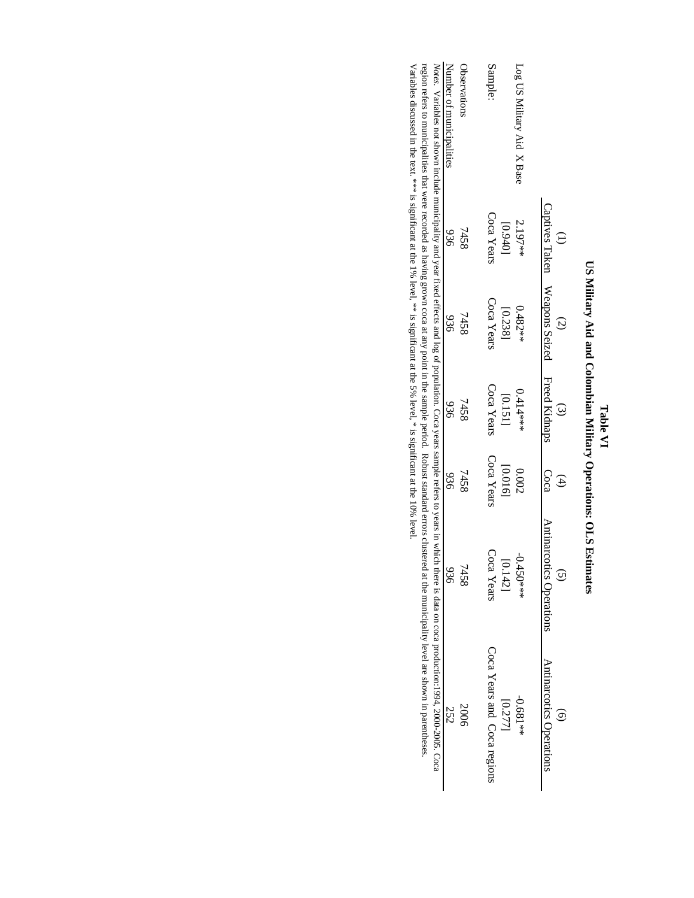| Notes. Variables not shown include municipality and year fixed effects and log of population. Coca years sample refers to years in which | Number of municipalities | Observations | Sample:                     |         | Log US Military Aid X Base |                                                               |
|------------------------------------------------------------------------------------------------------------------------------------------|--------------------------|--------------|-----------------------------|---------|----------------------------|---------------------------------------------------------------|
|                                                                                                                                          | 936                      | 7458         | Coca Year                   | [0.940] | 2.197**                    |                                                               |
|                                                                                                                                          | 936                      | 7458         | Coca Years                  | [0.238] | $0.482**$                  | Captives Taken Weapons Seized Freed Kidnaps<br>$\overline{c}$ |
|                                                                                                                                          | 936                      | 7458         | Coca Years                  | [0.151] | $0.414***$                 | $\widehat{\mathfrak{S}}$                                      |
|                                                                                                                                          | 936                      | 7458         | Coca Years                  | [0.016] | 0.002                      | Coca<br>$\left( 4\right)$                                     |
|                                                                                                                                          | 936                      | 7458         | Coca Years                  | [0.142] | $-0.450**$                 | Antinarcotics Operations<br>$\overline{S}$                    |
| there is data on coca production:1994, 2000-2005. Coca                                                                                   | 252                      | 2006         | Coca Years and Coca regions | [0.277] | $-0.681**$                 | Antinarcotics Operations<br>$\widetilde{\mathbf{c}}$          |

 **US Military Aid and Colombian Military Operations: OLS Estimates** US Military Aid and Colombian Military Operations: OLS Estimates Table VI **Table VI**

region refers to municipalities that were recorded as having grown coca at any point in the sample period. Robust standard errors clustered at the municipality level are shown in parentheses.<br>Variables discussed in the tex Variables discussed in the text. \*\*\* is significant at the 1% level, \*\* is significant at the 5% level, \* is significant at the 10% level. region refers to municipalities that were recorded as having grown coca at any point in the sample period. Robust standard errors clustered at the municipality level are shown in parentheses.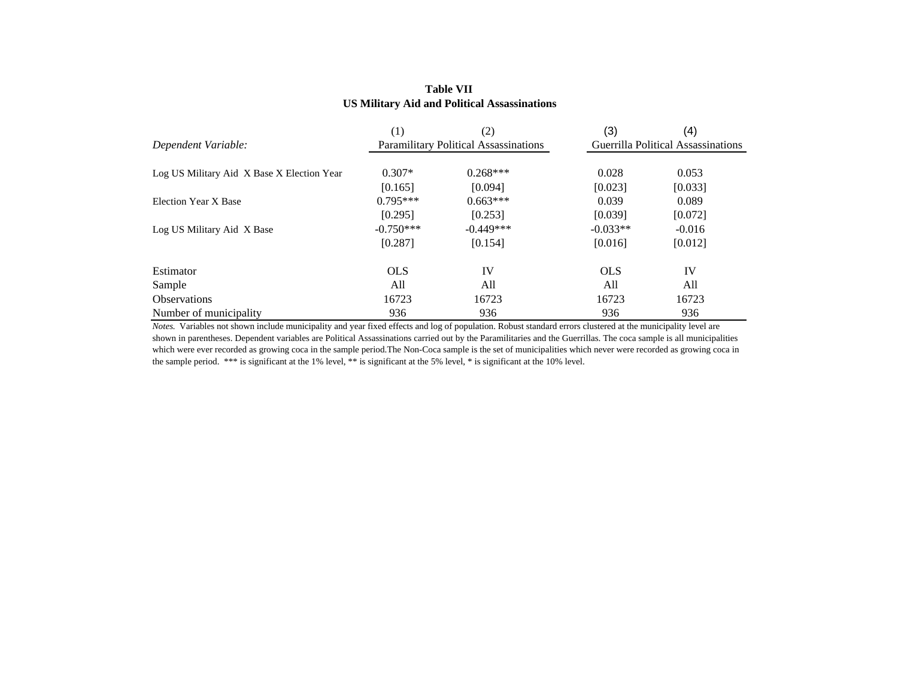| <b>Table VII</b>                                    |
|-----------------------------------------------------|
| <b>US Military Aid and Political Assassinations</b> |

|                                            | (1)         | (2)                                          | (3)        | (4)                                       |
|--------------------------------------------|-------------|----------------------------------------------|------------|-------------------------------------------|
| Dependent Variable:                        |             | <b>Paramilitary Political Assassinations</b> |            | <b>Guerrilla Political Assassinations</b> |
|                                            |             |                                              |            |                                           |
| Log US Military Aid X Base X Election Year | $0.307*$    | $0.268***$                                   | 0.028      | 0.053                                     |
|                                            | [0.165]     | [0.094]                                      | [0.023]    | [0.033]                                   |
| Election Year X Base                       | $0.795***$  | $0.663***$                                   | 0.039      | 0.089                                     |
|                                            | [0.295]     | [0.253]                                      | [0.039]    | [0.072]                                   |
| Log US Military Aid X Base                 | $-0.750***$ | $-0.449***$                                  | $-0.033**$ | $-0.016$                                  |
|                                            | [0.287]     | [0.154]                                      | [0.016]    | [0.012]                                   |
| Estimator                                  | <b>OLS</b>  | IV                                           | <b>OLS</b> | IV                                        |
| Sample                                     | A11         | All                                          | All        | All                                       |
| <b>Observations</b>                        | 16723       | 16723                                        | 16723      | 16723                                     |
| Number of municipality                     | 936         | 936                                          | 936        | 936                                       |

*Notes*. Variables not shown include municipality and year fixed effects and log of population. Robust standard errors clustered at the municipality level are shown in parentheses. Dependent variables are Political Assassinations carried out by the Paramilitaries and the Guerrillas. The coca sample is all municipalities which were ever recorded as growing coca in the sample period.The Non-Coca sample is the set of municipalities which never were recorded as growing coca in the sample period. \*\*\* is significant at the 1% level, \*\* is significant at the 5% level, \* is significant at the 10% level.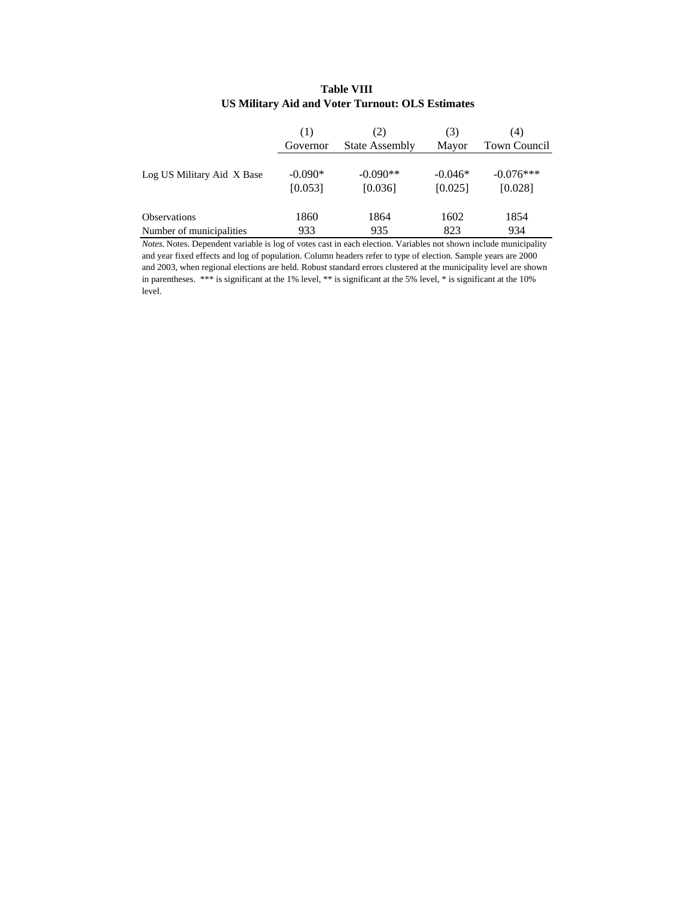|                            | (1)       | (2)                   | (3)       | (4)          |
|----------------------------|-----------|-----------------------|-----------|--------------|
|                            | Governor  | <b>State Assembly</b> | Mayor     | Town Council |
|                            |           |                       |           |              |
| Log US Military Aid X Base | $-0.090*$ | $-0.090**$            | $-0.046*$ | $-0.076***$  |
|                            | [0.053]   | [0.036]               | [0.025]   | [0.028]      |
|                            |           |                       |           |              |
| <b>Observations</b>        | 1860      | 1864                  | 1602      | 1854         |
| Number of municipalities   | 933       | 935                   | 823       | 934          |

# **Table VIII US Military Aid and Voter Turnout: OLS Estimates**

*Notes.* Notes. Dependent variable is log of votes cast in each election. Variables not shown include municipality and year fixed effects and log of population. Column headers refer to type of election. Sample years are 2000 and 2003, when regional elections are held. Robust standard errors clustered at the municipality level are shown in parentheses. \*\*\* is significant at the 1% level, \*\* is significant at the 5% level, \* is significant at the 10% level.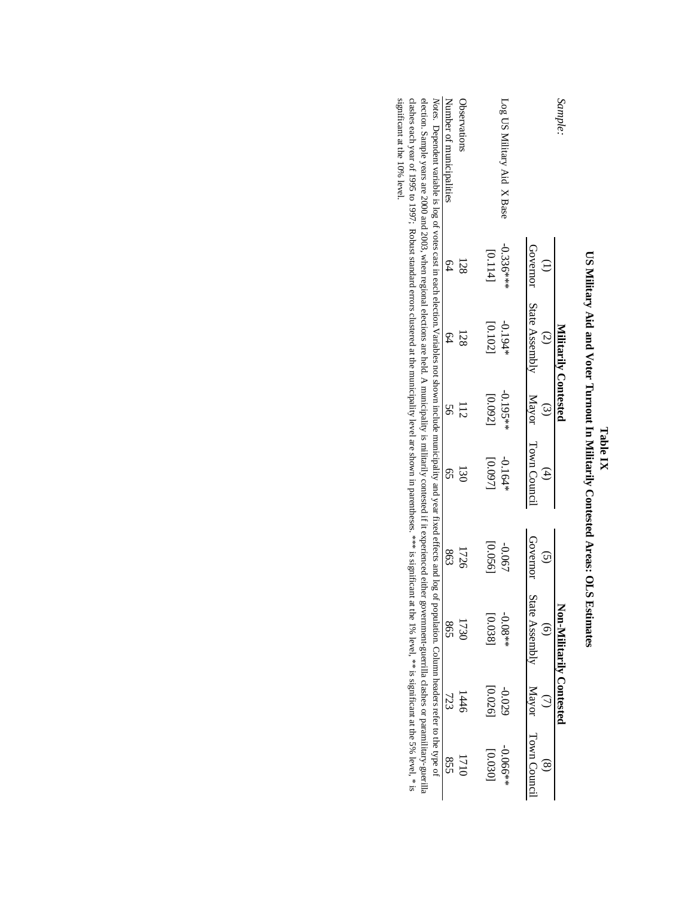| <i>Sample:</i>                                                                                                                                                                                  |             | <b>Militarily Contested</b> |            |                    |          | Non-Militarily Contested |          |                    |
|-------------------------------------------------------------------------------------------------------------------------------------------------------------------------------------------------|-------------|-----------------------------|------------|--------------------|----------|--------------------------|----------|--------------------|
|                                                                                                                                                                                                 |             |                             |            |                    |          |                          |          |                    |
|                                                                                                                                                                                                 |             | Governor<br>State Assembly  |            | Mayor Town Council |          | Governor State Assembly  |          | Mayor Town Council |
| Log US Military Aid X Base                                                                                                                                                                      | $-0.336***$ | $-0.194*$                   | $-0.195**$ | $-0.164*$          | $-0.067$ | $-0.08**$                | $-0.029$ | $-0.066**$         |
|                                                                                                                                                                                                 | [0.114]     | [0.102]                     | [0.092]    | [160.0]            | [0.056]  | [0.038]                  | [0.026]  | [0.030]            |
| Observations                                                                                                                                                                                    | 128         | 128                         |            | 59                 | 1726     | 1730                     | 1446     |                    |
| Number of municipalities                                                                                                                                                                        |             |                             |            |                    | 563      | 565                      |          | 855                |
| Notes. Dependent variable is log of votes cast in each election. Variables not shown include municipality and year fixed effects and log of population. Column headers refer to the type of     |             |                             |            |                    |          |                          |          |                    |
| election. Sample years are 2000 and 2003, when regional elections are held. A municipality is military serviewed if it experienced either government-guerrilla clashes or paramilitary-guerilla |             |                             |            |                    |          |                          |          |                    |

 **US Military Aid and Voter Turnout In Militarily Contested Areas: OLS Estimates**US Military Aid and Voter Turnout In Militarily Contested Areas: OLS Estimates Table IX **Table IX**

convergence to the convent convergence converges of the municipality level are shown in parentheses. \*\*\* is significant at the 1% level, \*\*\* is significant at the 5% level, \* is significant at the 1% level, \* is significa clashes each year of 1995 to 1997; Robust standard errors clustered at the municipality level are shown in parentheses. \*\*\* is significant at the 1% level, \*\* is significant at the 5% level, \*\* significant at the 10% level.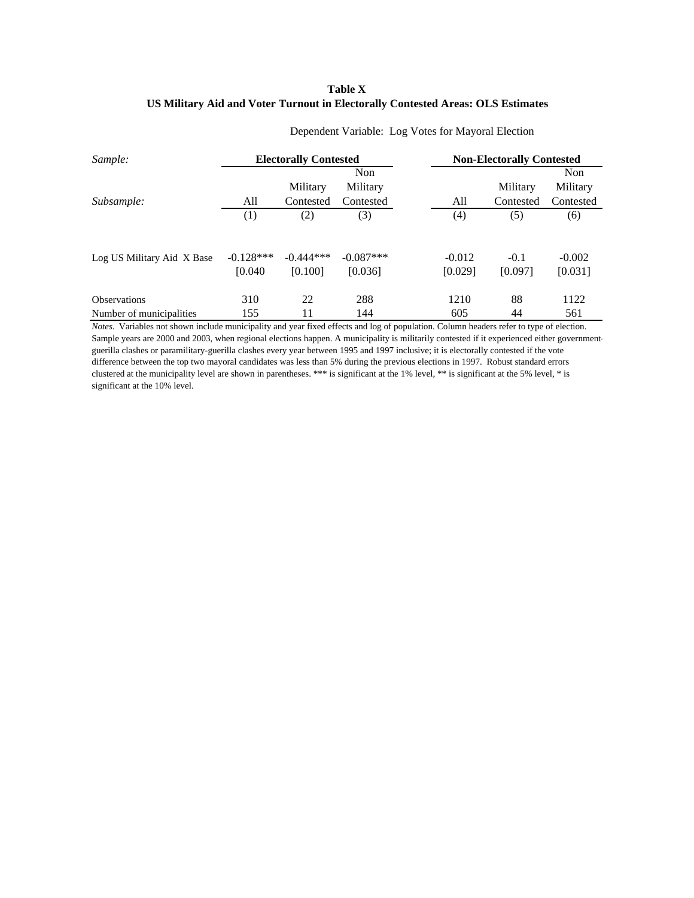### **US Military Aid and Voter Turnout in Electorally Contested Areas: OLS Estimates Table X**

| Sample:                    |                        | <b>Electorally Contested</b> |                        |                     | <b>Non-Electorally Contested</b> |                     |
|----------------------------|------------------------|------------------------------|------------------------|---------------------|----------------------------------|---------------------|
|                            |                        |                              | Non                    |                     |                                  | Non                 |
|                            |                        | Military                     | Military               |                     | Military                         | Military            |
| Subsample:                 | All                    | Contested                    | Contested              | All                 | Contested                        | Contested           |
|                            | (1)                    | (2)                          | (3)                    | (4)                 | (5)                              | (6)                 |
| Log US Military Aid X Base | $-0.128***$<br>[0.040] | $-0.444***$<br>[0.100]       | $-0.087***$<br>[0.036] | $-0.012$<br>[0.029] | $-0.1$<br>[0.097]                | $-0.002$<br>[0.031] |
| <b>Observations</b>        | 310                    | 22                           | 288                    | 1210                | 88                               | 1122<br>561         |
| Number of municipalities   | 155                    | 11                           | 144                    | 605                 | 44                               |                     |

Dependent Variable: Log Votes for Mayoral Election

*Notes.* Variables not shown include municipality and year fixed effects and log of population. Column headers refer to type of election. Sample years are 2000 and 2003, when regional elections happen. A municipality is militarily contested if it experienced either governmentguerilla clashes or paramilitary-guerilla clashes every year between 1995 and 1997 inclusive; it is electorally contested if the vote difference between the top two mayoral candidates was less than 5% during the previous elections in 1997. Robust standard errors clustered at the municipality level are shown in parentheses. \*\*\* is significant at the 1% level, \*\* is significant at the 5% level, \* is significant at the 10% level.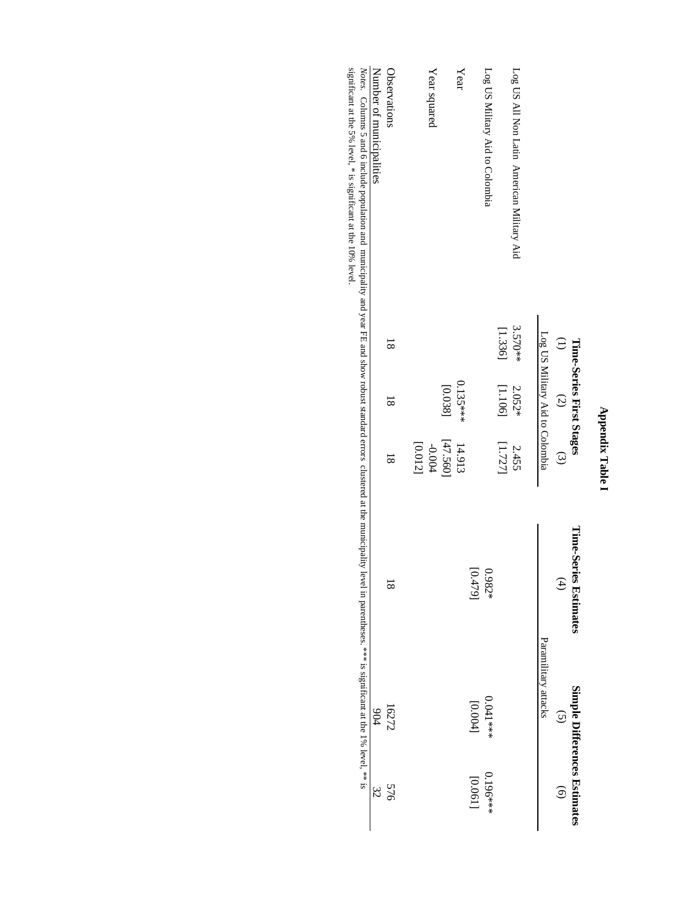| Ξ |
|---|
| ۲ |

|                                            | $\hat{c}$      | Time-Series First Stages<br>$\widetilde{a}$ | $\widetilde{3}$ | Time-Series Estimates<br>$\mathfrak{g}$ | Simple Differences Estimates<br>$\widetilde{S}$ | $\widehat{\Theta}$ |
|--------------------------------------------|----------------|---------------------------------------------|-----------------|-----------------------------------------|-------------------------------------------------|--------------------|
|                                            |                | Log US Mitary Aid to Colonbia               |                 |                                         | Paramilitary attacks                            |                    |
| Log US All Non Latin American Military Aid | 3.570**        | $2.052*$                                    | 2.455           |                                         |                                                 |                    |
|                                            | [1.336]        | [901]                                       | [1.727]         |                                         |                                                 |                    |
| Log US Military Aid to Colombia            |                |                                             |                 | $0.982*$                                | ***1**0.0                                       | $0.196***$         |
|                                            |                |                                             |                 | $[6L + 0]$                              | [0.004]                                         | [0.061]            |
| Year                                       |                | $0.135***$                                  | 14.913          |                                         |                                                 |                    |
|                                            |                | [0.038]                                     | [47.560]        |                                         |                                                 |                    |
| Year squared                               |                |                                             | $-0.004$        |                                         |                                                 |                    |
|                                            |                |                                             | [0.012]         |                                         |                                                 |                    |
| Observations                               | $\overline{8}$ | $\overline{\infty}$                         | ವ               | $\overline{\infty}$                     | 16272                                           | 576                |
| Number of municipalities                   |                |                                             |                 |                                         | 904                                             | 32                 |

significant at the 5% level,  $*$  is significant at the 10% level.<br>significant at the 5% level,  $*$  is significant at the 10% level. Columns 5 and 6 include population and municipality and year FE and show robust standard errors clustered at the municipality level in parentheses. \*\*\* is significant at the 1% level, \*\* is significant at the 5% level,  $*$  is significant at the 10% level.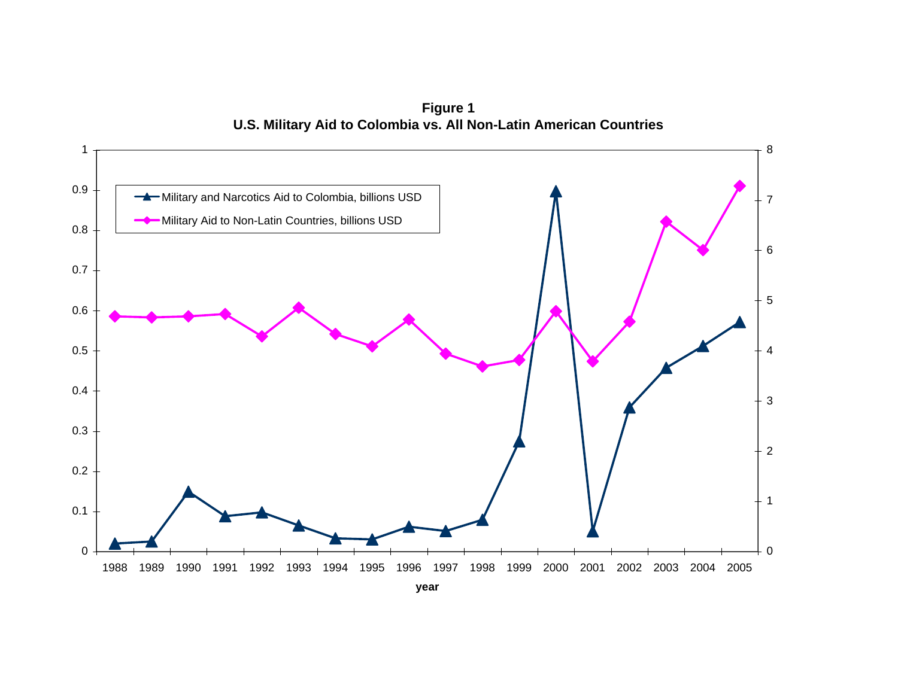00.1 0.2 0.3 0.4 0.5 0.6 0.7 0.8 0.9 11988 1989 1990 1991 1992 1993 1994 1995 1996 1997 1998 1999 2000 2001 2002 2003 2004 2005 ە + 12 3 45 6 78 **-A** Military and Narcotics Aid to Colombia, billions USD Military Aid to Non-Latin Countries, billions USD

**Figure 1 U.S. Military Aid to Colombia vs. All Non-Latin American Countries**

**year**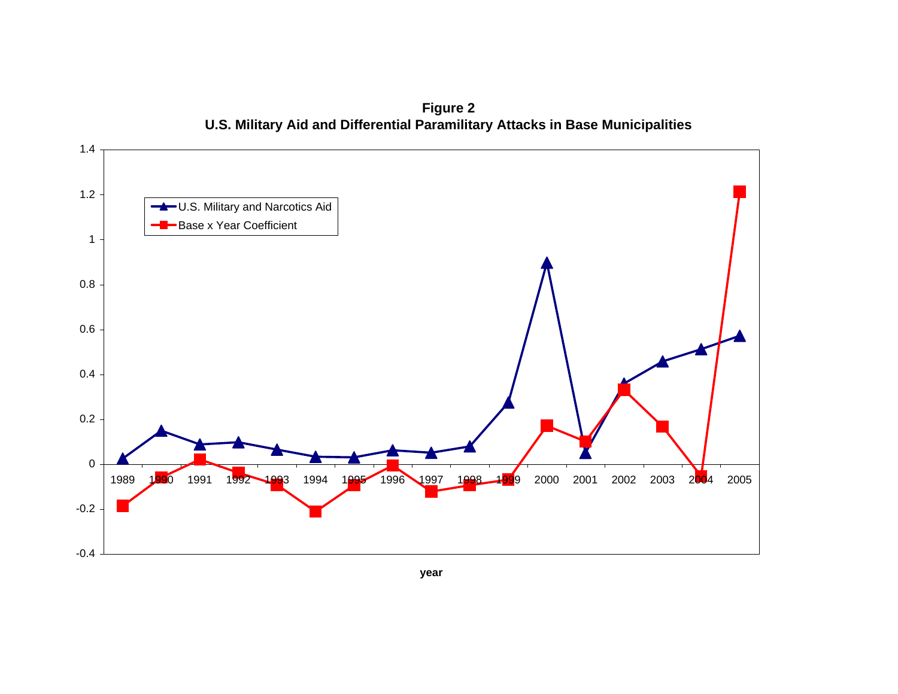**Figure 2 U.S. Military Aid and Differential Paramilitary Attacks in Base Municipalities**



**year**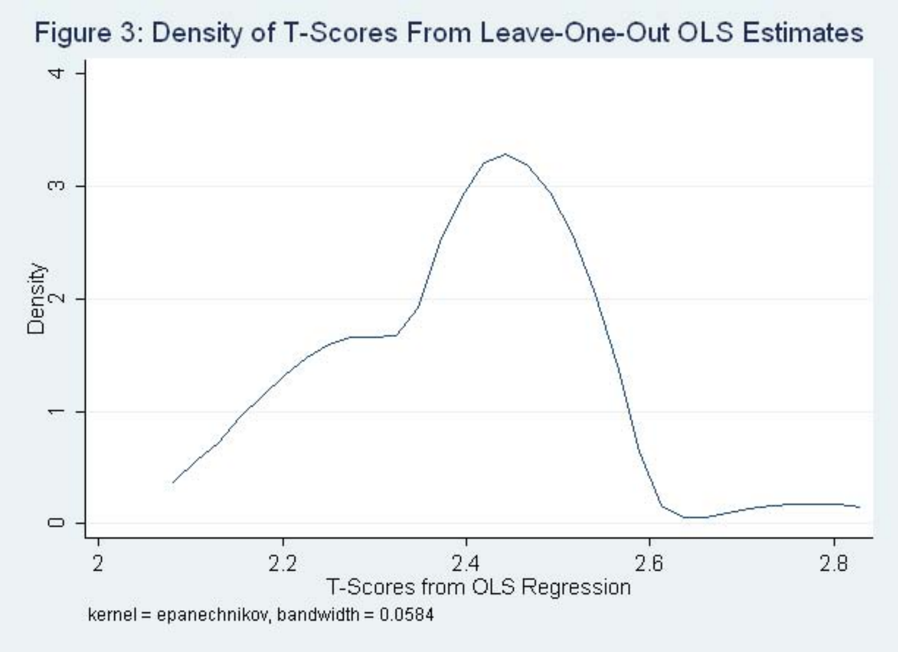